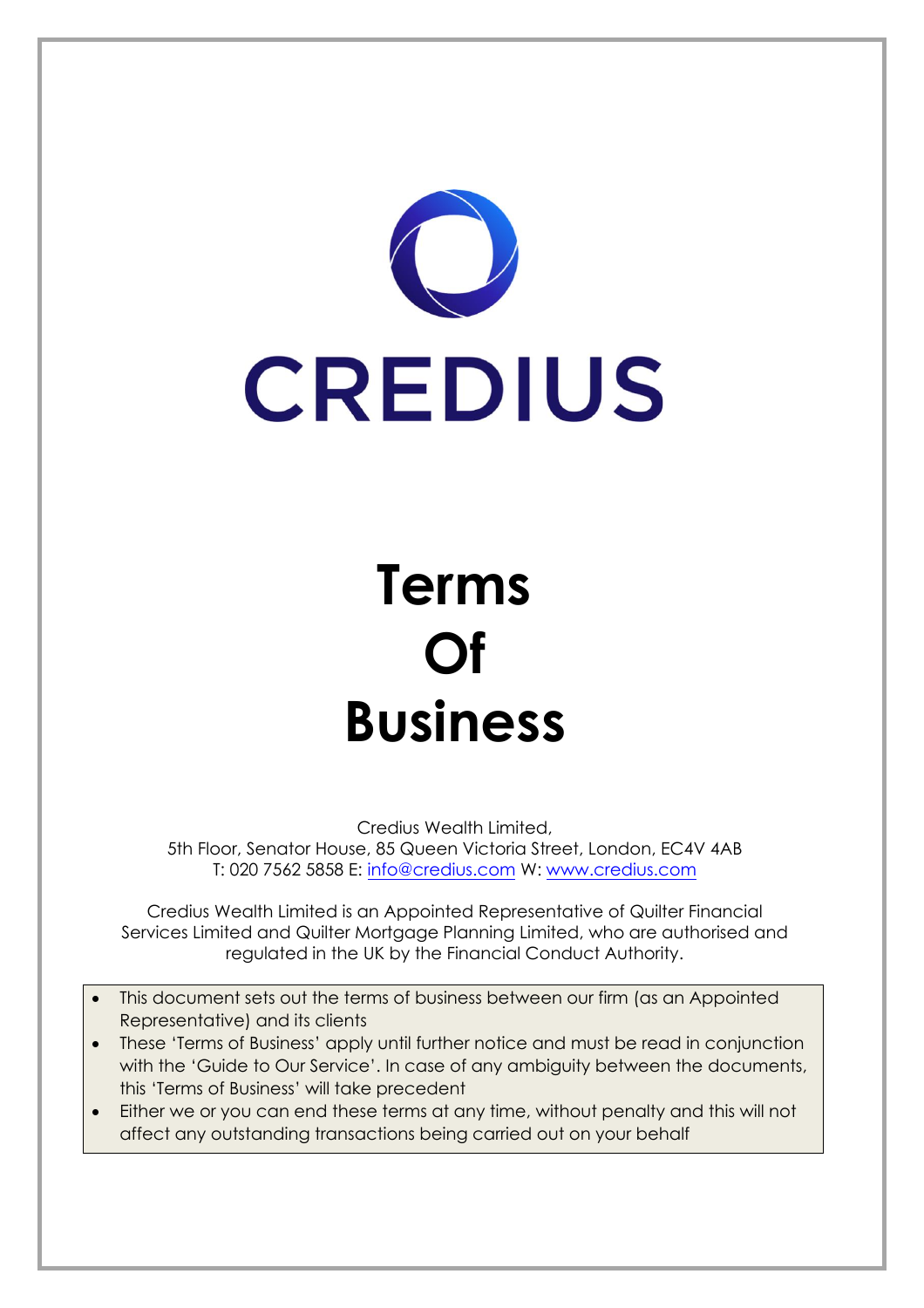

# **Terms Of Business**

Credius Wealth Limited, 5th Floor, Senator House, 85 Queen Victoria Street, London, EC4V 4AB T: 020 7562 5858 E: [info@credius.com](mailto:info@credius.com) W: [www.credius.com](http://www.credius.com/)

Credius Wealth Limited is an Appointed Representative of Quilter Financial Services Limited and Quilter Mortgage Planning Limited, who are authorised and regulated in the UK by the Financial Conduct Authority.

- This document sets out the terms of business between our firm (as an Appointed Representative) and its clients
- These 'Terms of Business' apply until further notice and must be read in conjunction with the 'Guide to Our Service'. In case of any ambiguity between the documents, this 'Terms of Business' will take precedent
- Either we or you can end these terms at any time, without penalty and this will not affect any outstanding transactions being carried out on your behalf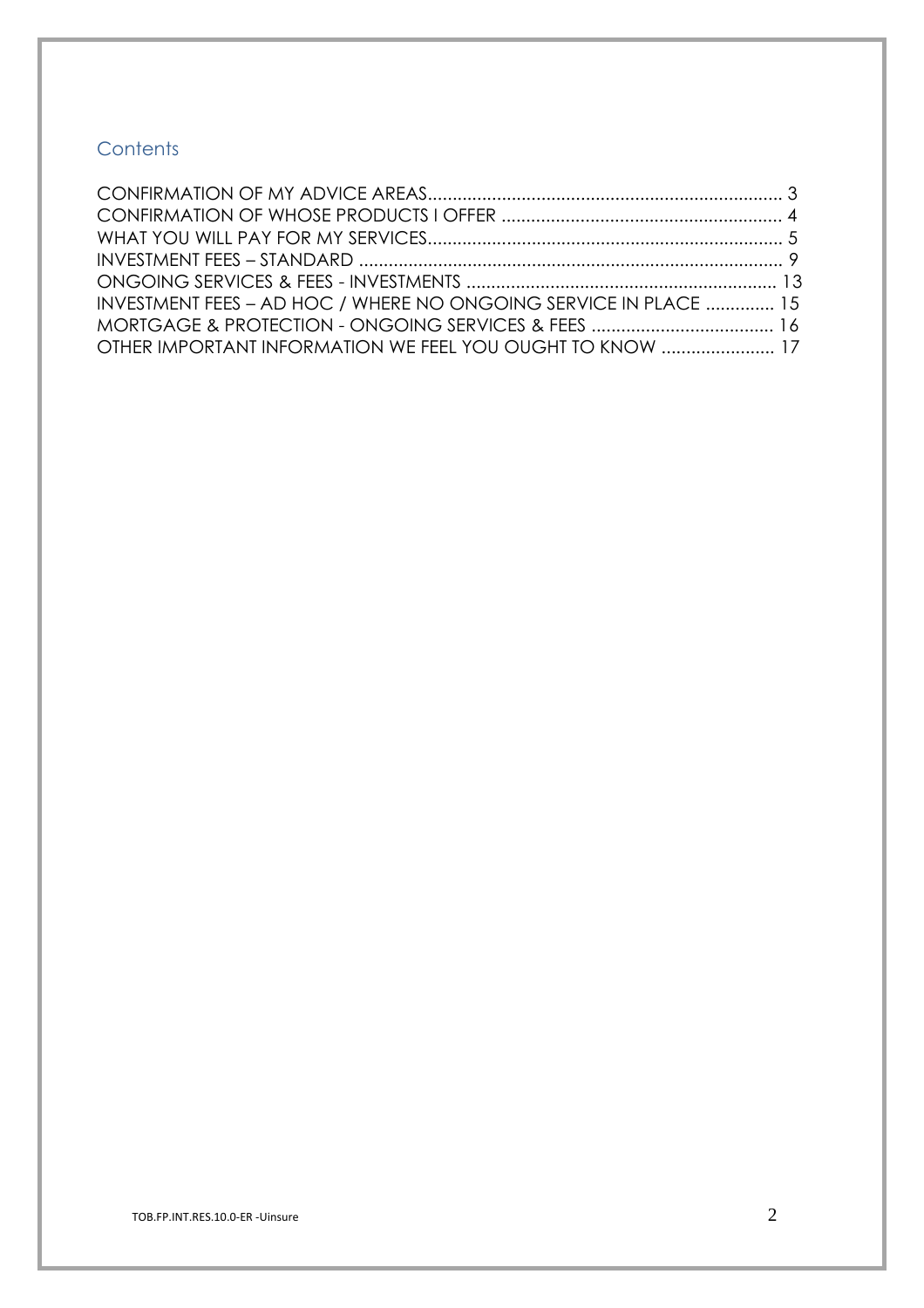# **Contents**

| INVESTMENT FEES - AD HOC / WHERE NO ONGOING SERVICE IN PLACE  15 |  |
|------------------------------------------------------------------|--|
|                                                                  |  |
| OTHER IMPORTANT INFORMATION WE FEEL YOU OUGHT TO KNOW  17        |  |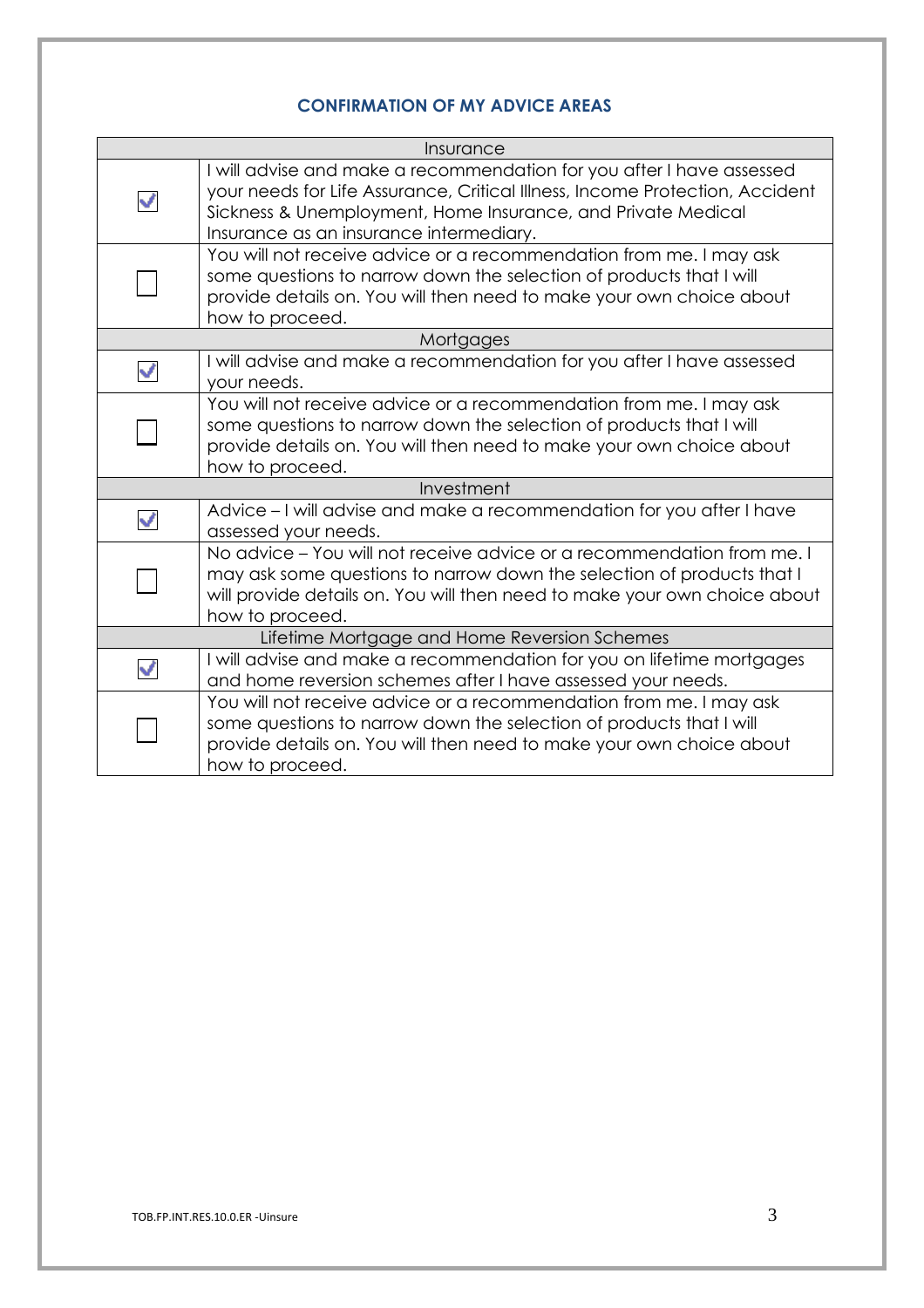# **CONFIRMATION OF MY ADVICE AREAS**

| Insurance                                    |                                                                                                                                                                                                                                                                  |  |  |
|----------------------------------------------|------------------------------------------------------------------------------------------------------------------------------------------------------------------------------------------------------------------------------------------------------------------|--|--|
| V                                            | I will advise and make a recommendation for you after I have assessed<br>your needs for Life Assurance, Critical Illness, Income Protection, Accident<br>Sickness & Unemployment, Home Insurance, and Private Medical<br>Insurance as an insurance intermediary. |  |  |
|                                              | You will not receive advice or a recommendation from me. I may ask<br>some questions to narrow down the selection of products that I will<br>provide details on. You will then need to make your own choice about<br>how to proceed.                             |  |  |
| Mortgages                                    |                                                                                                                                                                                                                                                                  |  |  |
| V                                            | I will advise and make a recommendation for you after I have assessed<br>your needs.                                                                                                                                                                             |  |  |
|                                              | You will not receive advice or a recommendation from me. I may ask<br>some questions to narrow down the selection of products that I will<br>provide details on. You will then need to make your own choice about<br>how to proceed.                             |  |  |
|                                              | Investment                                                                                                                                                                                                                                                       |  |  |
| V                                            | Advice – I will advise and make a recommendation for you after I have<br>assessed your needs.                                                                                                                                                                    |  |  |
|                                              | No advice – You will not receive advice or a recommendation from me. I<br>may ask some questions to narrow down the selection of products that I<br>will provide details on. You will then need to make your own choice about<br>how to proceed.                 |  |  |
| Lifetime Mortgage and Home Reversion Schemes |                                                                                                                                                                                                                                                                  |  |  |
| ٦                                            | I will advise and make a recommendation for you on lifetime mortgages<br>and home reversion schemes after I have assessed your needs.                                                                                                                            |  |  |
|                                              | You will not receive advice or a recommendation from me. I may ask<br>some questions to narrow down the selection of products that I will<br>provide details on. You will then need to make your own choice about<br>how to proceed.                             |  |  |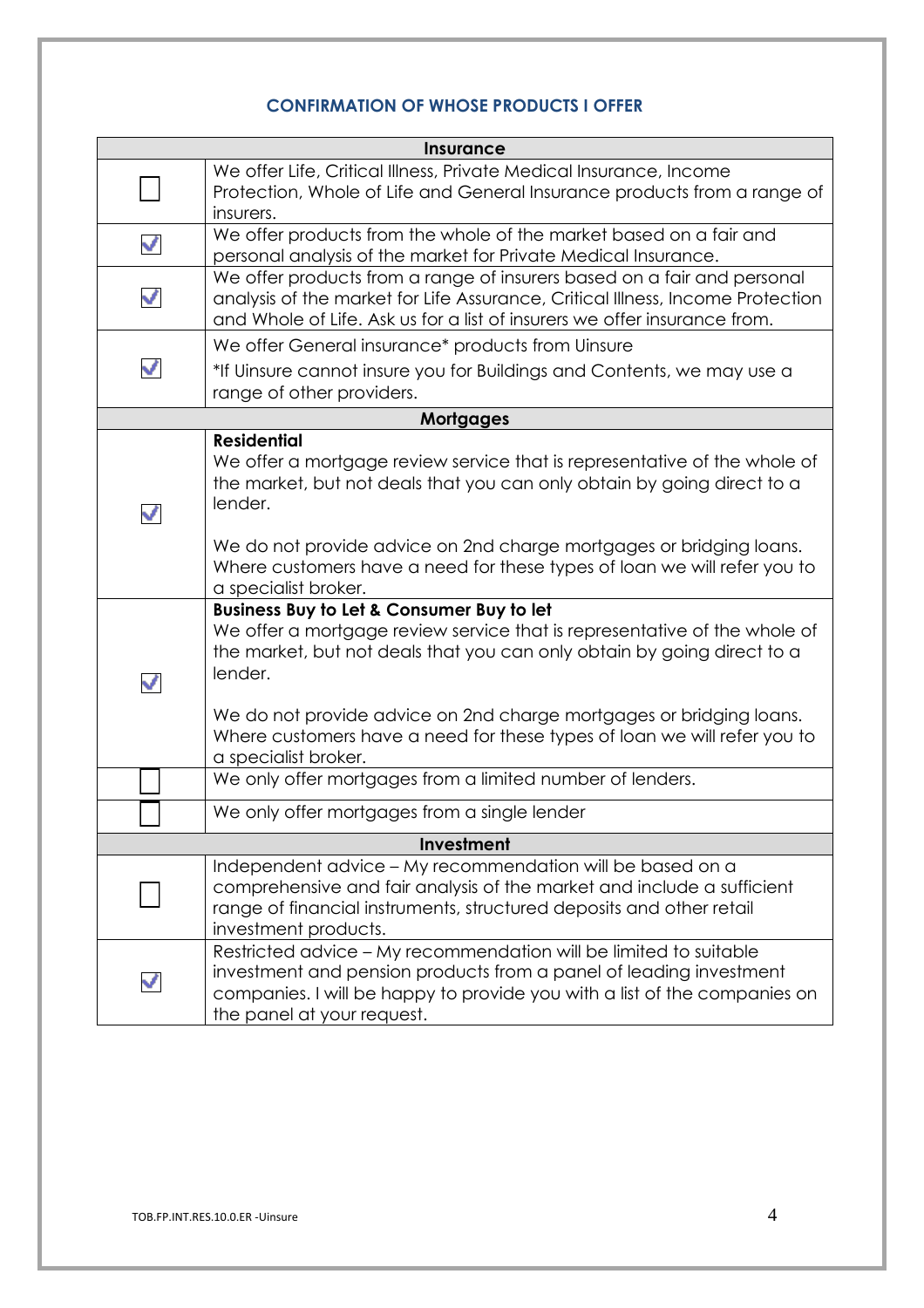# **CONFIRMATION OF WHOSE PRODUCTS I OFFER**

|            | <b>Insurance</b>                                                                                                                                                                                                                                   |  |  |
|------------|----------------------------------------------------------------------------------------------------------------------------------------------------------------------------------------------------------------------------------------------------|--|--|
|            | We offer Life, Critical Illness, Private Medical Insurance, Income<br>Protection, Whole of Life and General Insurance products from a range of<br>insurers.                                                                                        |  |  |
| V          | We offer products from the whole of the market based on a fair and<br>personal analysis of the market for Private Medical Insurance.                                                                                                               |  |  |
| V          | We offer products from a range of insurers based on a fair and personal<br>analysis of the market for Life Assurance, Critical Illness, Income Protection<br>and Whole of Life. Ask us for a list of insurers we offer insurance from.             |  |  |
|            | We offer General insurance* products from Uinsure<br>*If Uinsure cannot insure you for Buildings and Contents, we may use a<br>range of other providers.                                                                                           |  |  |
|            | Mortgages                                                                                                                                                                                                                                          |  |  |
|            | <b>Residential</b><br>We offer a mortgage review service that is representative of the whole of<br>the market, but not deals that you can only obtain by going direct to a<br>lender.                                                              |  |  |
|            | We do not provide advice on 2nd charge mortgages or bridging loans.<br>Where customers have a need for these types of loan we will refer you to<br>a specialist broker.                                                                            |  |  |
|            | Business Buy to Let & Consumer Buy to let<br>We offer a mortgage review service that is representative of the whole of<br>the market, but not deals that you can only obtain by going direct to a<br>lender.                                       |  |  |
|            | We do not provide advice on 2nd charge mortgages or bridging loans.<br>Where customers have a need for these types of loan we will refer you to<br>a specialist broker.                                                                            |  |  |
|            | We only offer mortgages from a limited number of lenders.                                                                                                                                                                                          |  |  |
|            | We only offer mortgages from a single lender                                                                                                                                                                                                       |  |  |
| Investment |                                                                                                                                                                                                                                                    |  |  |
|            | Independent advice - My recommendation will be based on a<br>comprehensive and fair analysis of the market and include a sufficient<br>range of financial instruments, structured deposits and other retail<br>investment products.                |  |  |
|            | Restricted advice - My recommendation will be limited to suitable<br>investment and pension products from a panel of leading investment<br>companies. I will be happy to provide you with a list of the companies on<br>the panel at your request. |  |  |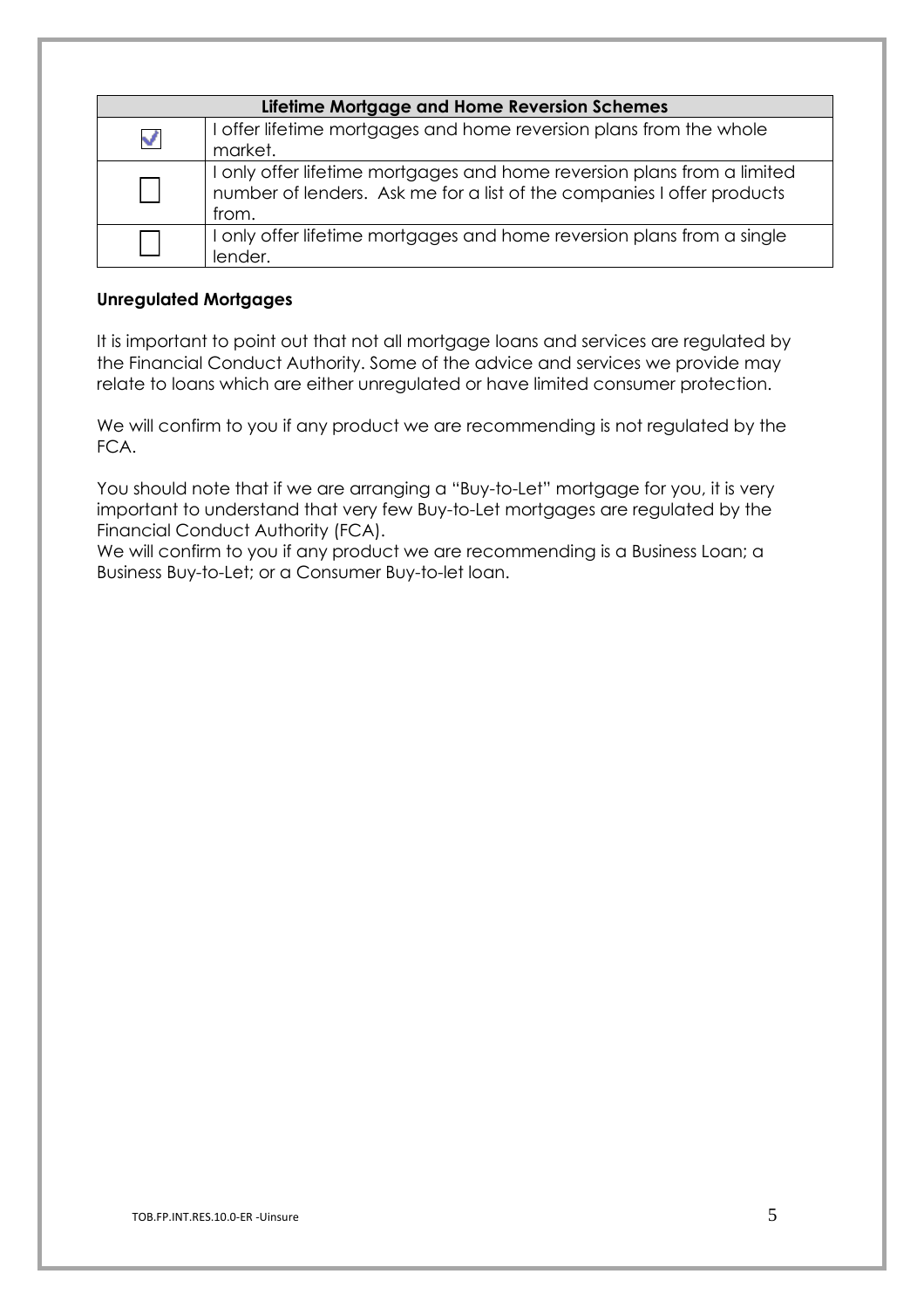| Lifetime Mortgage and Home Reversion Schemes |                                                                                                                                                            |  |
|----------------------------------------------|------------------------------------------------------------------------------------------------------------------------------------------------------------|--|
| M                                            | I offer lifetime mortgages and home reversion plans from the whole<br>market.                                                                              |  |
|                                              | I only offer lifetime mortgages and home reversion plans from a limited<br>number of lenders. Ask me for a list of the companies I offer products<br>from. |  |
|                                              | I only offer lifetime mortgages and home reversion plans from a single<br>lender.                                                                          |  |

## **Unregulated Mortgages**

It is important to point out that not all mortgage loans and services are regulated by the Financial Conduct Authority. Some of the advice and services we provide may relate to loans which are either unregulated or have limited consumer protection.

We will confirm to you if any product we are recommending is not regulated by the FCA.

You should note that if we are arranging a "Buy-to-Let" mortgage for you, it is very important to understand that very few Buy-to-Let mortgages are regulated by the Financial Conduct Authority (FCA).

We will confirm to you if any product we are recommending is a Business Loan; a Business Buy-to-Let; or a Consumer Buy-to-let loan.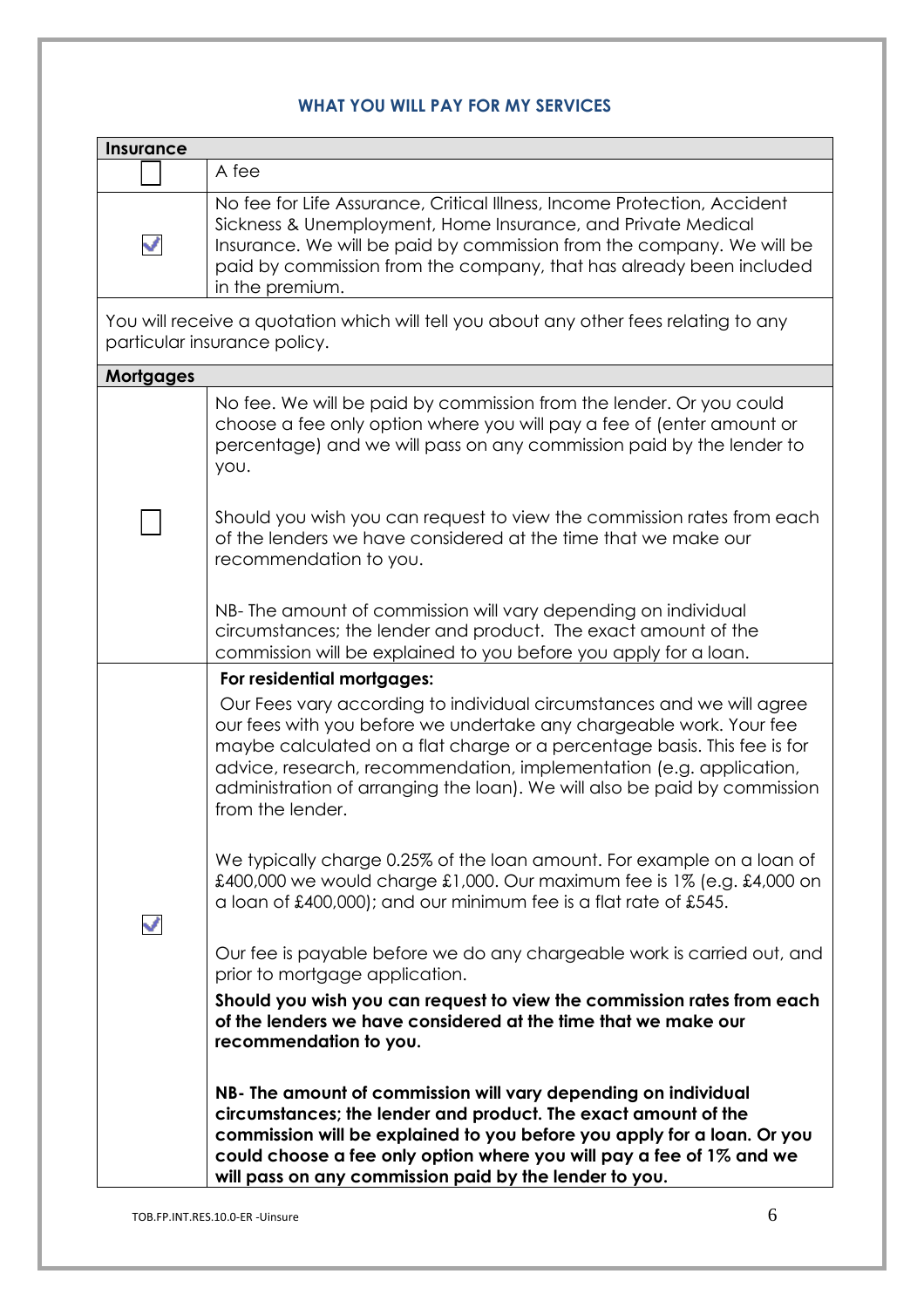# **WHAT YOU WILL PAY FOR MY SERVICES**

| <b>Insurance</b> |                                                                                                                                                                                                                                                                                                                                                                                                  |  |  |
|------------------|--------------------------------------------------------------------------------------------------------------------------------------------------------------------------------------------------------------------------------------------------------------------------------------------------------------------------------------------------------------------------------------------------|--|--|
|                  | A fee                                                                                                                                                                                                                                                                                                                                                                                            |  |  |
| V                | No fee for Life Assurance, Critical Illness, Income Protection, Accident<br>Sickness & Unemployment, Home Insurance, and Private Medical<br>Insurance. We will be paid by commission from the company. We will be<br>paid by commission from the company, that has already been included<br>in the premium.                                                                                      |  |  |
|                  | You will receive a quotation which will tell you about any other fees relating to any<br>particular insurance policy.                                                                                                                                                                                                                                                                            |  |  |
| Mortgages        |                                                                                                                                                                                                                                                                                                                                                                                                  |  |  |
|                  | No fee. We will be paid by commission from the lender. Or you could<br>choose a fee only option where you will pay a fee of (enter amount or<br>percentage) and we will pass on any commission paid by the lender to<br>you.                                                                                                                                                                     |  |  |
|                  | Should you wish you can request to view the commission rates from each<br>of the lenders we have considered at the time that we make our<br>recommendation to you.                                                                                                                                                                                                                               |  |  |
|                  | NB-The amount of commission will vary depending on individual<br>circumstances; the lender and product. The exact amount of the<br>commission will be explained to you before you apply for a loan.                                                                                                                                                                                              |  |  |
|                  | For residential mortgages:                                                                                                                                                                                                                                                                                                                                                                       |  |  |
| √                | Our Fees vary according to individual circumstances and we will agree<br>our fees with you before we undertake any chargeable work. Your fee<br>maybe calculated on a flat charge or a percentage basis. This fee is for<br>advice, research, recommendation, implementation (e.g. application,<br>administration of arranging the loan). We will also be paid by commission<br>from the lender. |  |  |
|                  | We typically charge 0.25% of the loan amount. For example on a loan of<br>£400,000 we would charge £1,000. Our maximum fee is 1% (e.g. £4,000 on<br>a loan of £400,000); and our minimum fee is a flat rate of £545.                                                                                                                                                                             |  |  |
|                  | Our fee is payable before we do any chargeable work is carried out, and<br>prior to mortgage application.<br>Should you wish you can request to view the commission rates from each<br>of the lenders we have considered at the time that we make our<br>recommendation to you.                                                                                                                  |  |  |
|                  | NB- The amount of commission will vary depending on individual<br>circumstances; the lender and product. The exact amount of the<br>commission will be explained to you before you apply for a loan. Or you<br>could choose a fee only option where you will pay a fee of 1% and we<br>will pass on any commission paid by the lender to you.                                                    |  |  |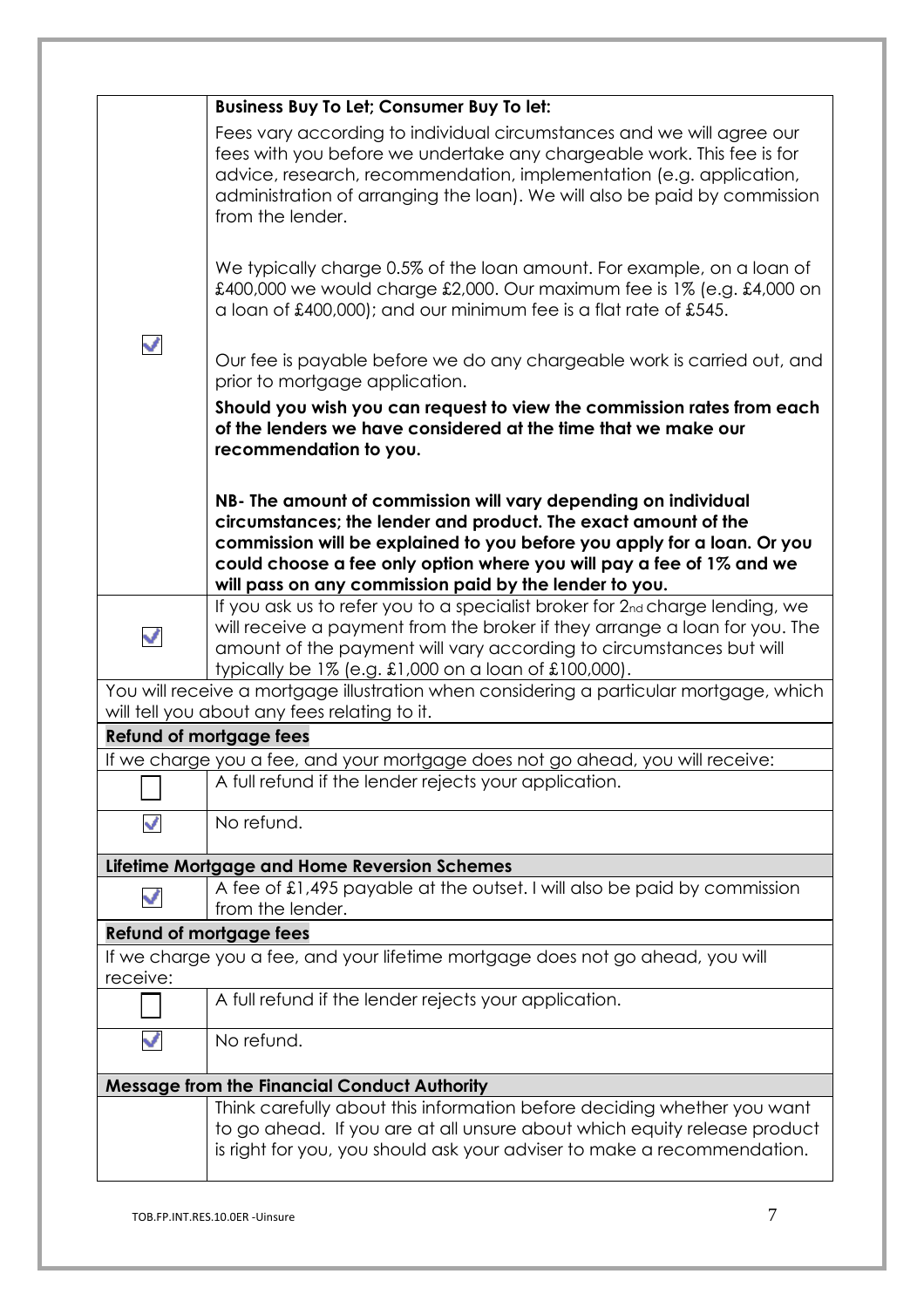|          | <b>Business Buy To Let; Consumer Buy To let:</b>                                                                                                                                                                                                                                                                                              |
|----------|-----------------------------------------------------------------------------------------------------------------------------------------------------------------------------------------------------------------------------------------------------------------------------------------------------------------------------------------------|
|          | Fees vary according to individual circumstances and we will agree our<br>fees with you before we undertake any chargeable work. This fee is for<br>advice, research, recommendation, implementation (e.g. application,<br>administration of arranging the loan). We will also be paid by commission<br>from the lender.                       |
|          | We typically charge 0.5% of the loan amount. For example, on a loan of<br>£400,000 we would charge £2,000. Our maximum fee is 1% (e.g. £4,000 on<br>a loan of £400,000); and our minimum fee is a flat rate of £545.                                                                                                                          |
| Ñ,       | Our fee is payable before we do any chargeable work is carried out, and<br>prior to mortgage application.                                                                                                                                                                                                                                     |
|          | Should you wish you can request to view the commission rates from each<br>of the lenders we have considered at the time that we make our<br>recommendation to you.                                                                                                                                                                            |
|          | NB- The amount of commission will vary depending on individual<br>circumstances; the lender and product. The exact amount of the<br>commission will be explained to you before you apply for a loan. Or you<br>could choose a fee only option where you will pay a fee of 1% and we<br>will pass on any commission paid by the lender to you. |
|          | If you ask us to refer you to a specialist broker for 2nd charge lending, we                                                                                                                                                                                                                                                                  |
| V        | will receive a payment from the broker if they arrange a loan for you. The<br>amount of the payment will vary according to circumstances but will<br>typically be $1\%$ (e.g. £1,000 on a loan of £100,000).                                                                                                                                  |
|          | You will receive a mortgage illustration when considering a particular mortgage, which<br>will tell you about any fees relating to it.                                                                                                                                                                                                        |
|          | <b>Refund of mortgage fees</b>                                                                                                                                                                                                                                                                                                                |
|          | If we charge you a fee, and your mortgage does not go ahead, you will receive:                                                                                                                                                                                                                                                                |
|          | A full refund if the lender rejects your application.                                                                                                                                                                                                                                                                                         |
| ✓        | No refund.                                                                                                                                                                                                                                                                                                                                    |
|          | Lifetime Mortgage and Home Reversion Schemes                                                                                                                                                                                                                                                                                                  |
|          | A fee of £1,495 payable at the outset. I will also be paid by commission<br>from the lender.                                                                                                                                                                                                                                                  |
|          | <b>Refund of mortgage fees</b>                                                                                                                                                                                                                                                                                                                |
| receive: | If we charge you a fee, and your lifetime mortgage does not go ahead, you will                                                                                                                                                                                                                                                                |
|          | A full refund if the lender rejects your application.                                                                                                                                                                                                                                                                                         |
| √        | No refund.                                                                                                                                                                                                                                                                                                                                    |
|          | <b>Message from the Financial Conduct Authority</b>                                                                                                                                                                                                                                                                                           |
|          | Think carefully about this information before deciding whether you want<br>to go ahead. If you are at all unsure about which equity release product<br>is right for you, you should ask your adviser to make a recommendation.                                                                                                                |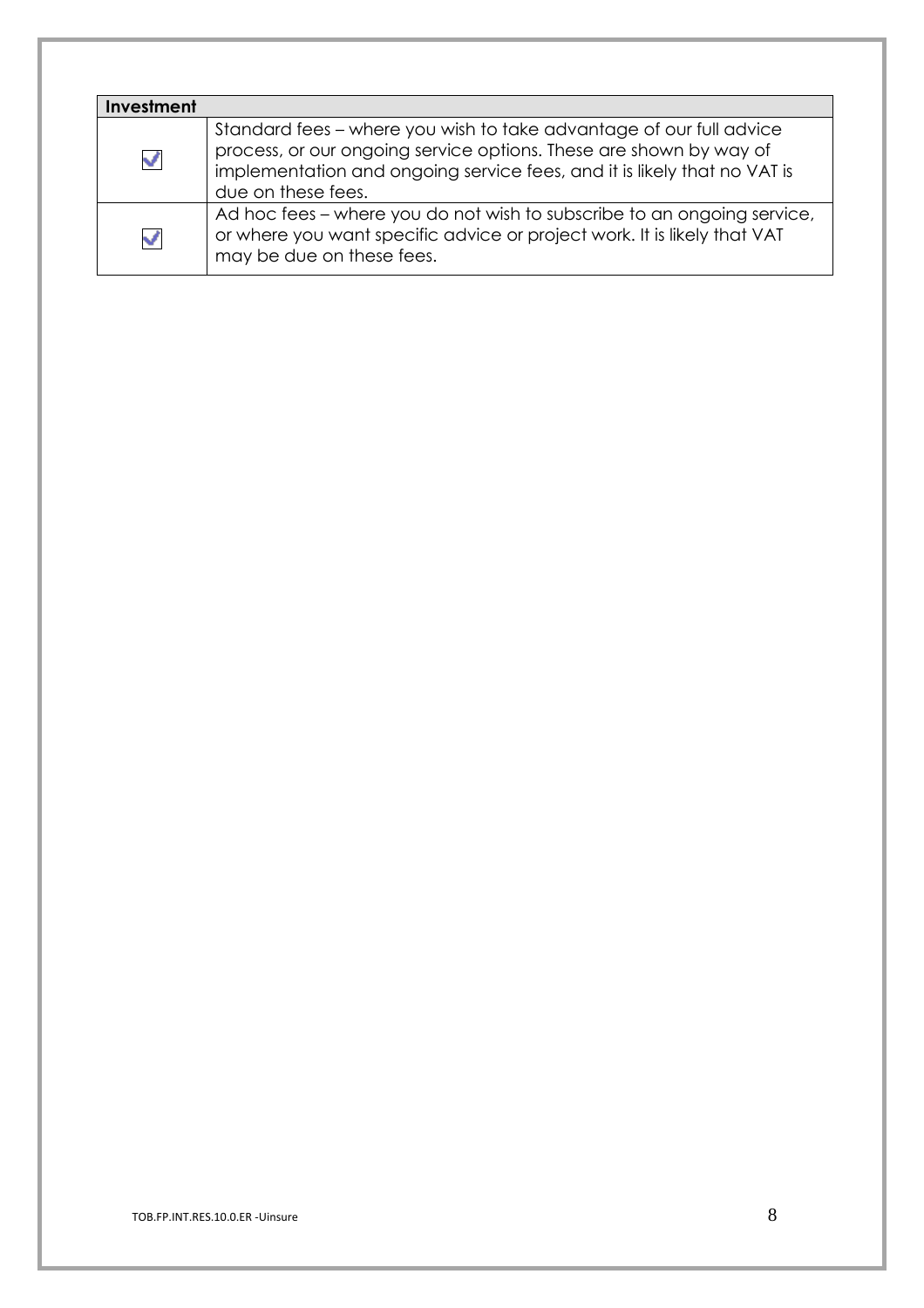| <b>Investment</b> |                                                                                                                                                                                                                                             |
|-------------------|---------------------------------------------------------------------------------------------------------------------------------------------------------------------------------------------------------------------------------------------|
| M                 | Standard fees – where you wish to take advantage of our full advice<br>process, or our ongoing service options. These are shown by way of<br>implementation and ongoing service fees, and it is likely that no VAT is<br>due on these fees. |
| $\mathcal{A}$     | Ad hoc fees – where you do not wish to subscribe to an ongoing service,<br>or where you want specific advice or project work. It is likely that VAT<br>may be due on these fees.                                                            |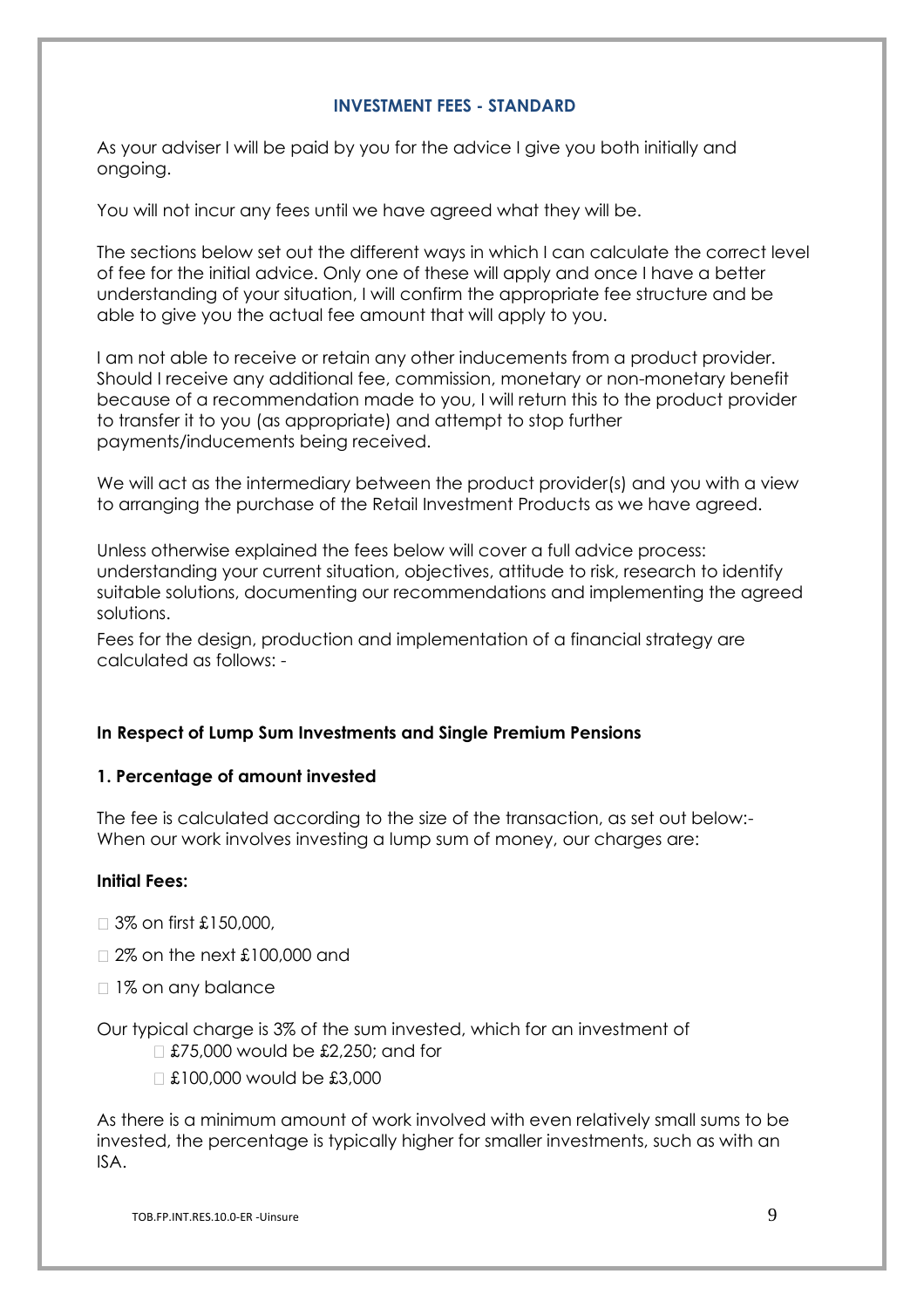## **INVESTMENT FEES - STANDARD**

As your adviser I will be paid by you for the advice I give you both initially and ongoing.

You will not incur any fees until we have agreed what they will be.

The sections below set out the different ways in which I can calculate the correct level of fee for the initial advice. Only one of these will apply and once I have a better understanding of your situation, I will confirm the appropriate fee structure and be able to give you the actual fee amount that will apply to you.

I am not able to receive or retain any other inducements from a product provider. Should I receive any additional fee, commission, monetary or non-monetary benefit because of a recommendation made to you, I will return this to the product provider to transfer it to you (as appropriate) and attempt to stop further payments/inducements being received.

We will act as the intermediary between the product provider(s) and you with a view to arranging the purchase of the Retail Investment Products as we have agreed.

Unless otherwise explained the fees below will cover a full advice process: understanding your current situation, objectives, attitude to risk, research to identify suitable solutions, documenting our recommendations and implementing the agreed solutions.

Fees for the design, production and implementation of a financial strategy are calculated as follows: -

## **In Respect of Lump Sum Investments and Single Premium Pensions**

#### **1. Percentage of amount invested**

The fee is calculated according to the size of the transaction, as set out below:- When our work involves investing a lump sum of money, our charges are:

#### **Initial Fees:**

- 3% on first £150,000,
- □ 2% on the next £100,000 and
- □ 1% on any balance

Our typical charge is 3% of the sum invested, which for an investment of £75,000 would be £2,250; and for

- 
- £100,000 would be £3,000

As there is a minimum amount of work involved with even relatively small sums to be invested, the percentage is typically higher for smaller investments, such as with an ISA.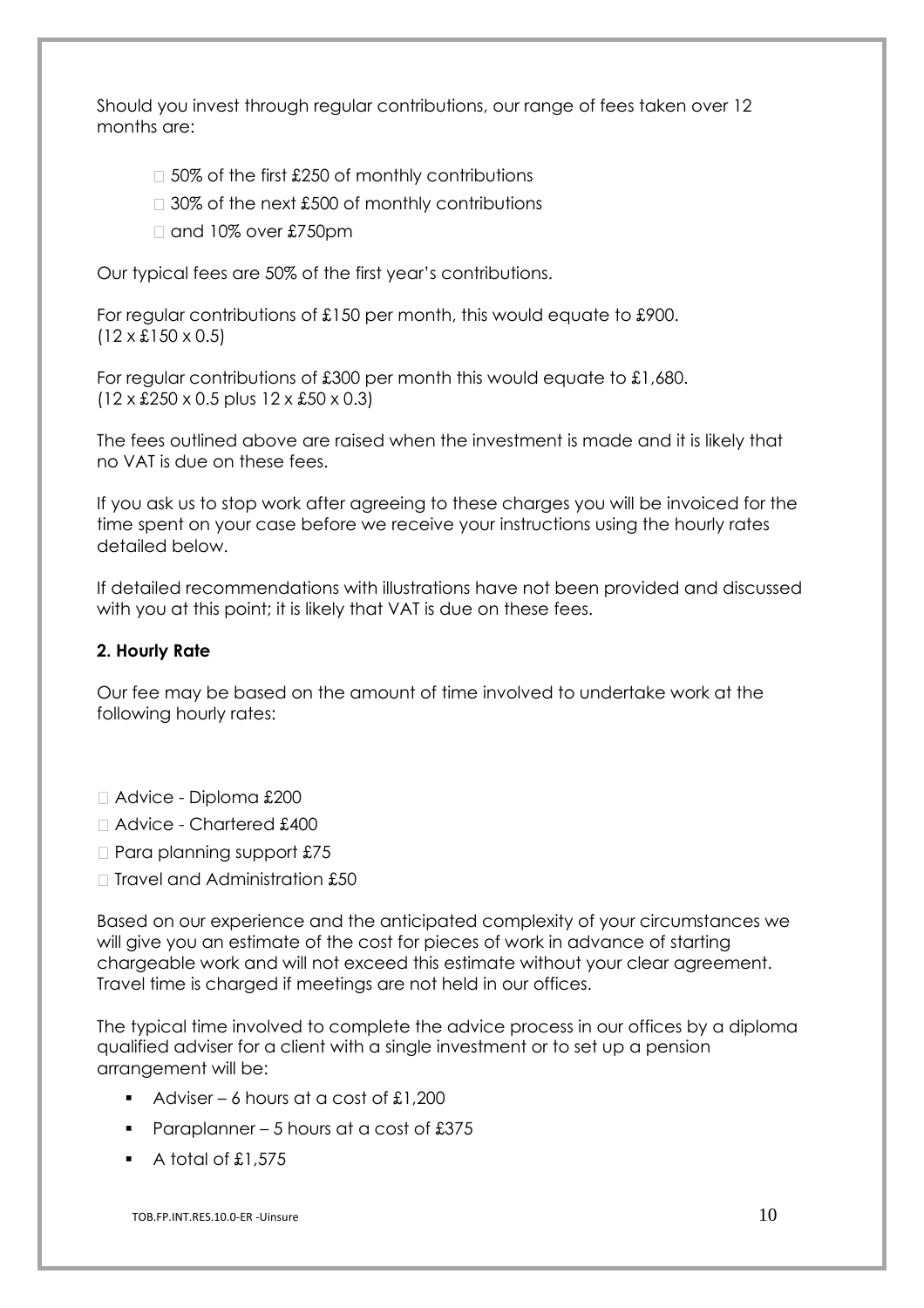Should you invest through regular contributions, our range of fees taken over 12 months are:

- $\Box$  50% of the first £250 of monthly contributions
- $\Box$  30% of the next £500 of monthly contributions
- $\Box$  and 10% over £750pm

Our typical fees are 50% of the first year's contributions.

For regular contributions of £150 per month, this would equate to £900.  $(12 \times \pounds150 \times 0.5)$ 

For regular contributions of £300 per month this would equate to £1,680. (12 x £250 x 0.5 plus 12 x £50 x 0.3)

The fees outlined above are raised when the investment is made and it is likely that no VAT is due on these fees.

If you ask us to stop work after agreeing to these charges you will be invoiced for the time spent on your case before we receive your instructions using the hourly rates detailed below.

If detailed recommendations with illustrations have not been provided and discussed with you at this point; it is likely that VAT is due on these fees.

# **2. Hourly Rate**

Our fee may be based on the amount of time involved to undertake work at the following hourly rates:

- Advice Diploma £200
- □ Advice Chartered £400
- □ Para planning support £75
- □ Travel and Administration £50

Based on our experience and the anticipated complexity of your circumstances we will give you an estimate of the cost for pieces of work in advance of starting chargeable work and will not exceed this estimate without your clear agreement. Travel time is charged if meetings are not held in our offices.

The typical time involved to complete the advice process in our offices by a diploma qualified adviser for a client with a single investment or to set up a pension arrangement will be:

- Adviser 6 hours at a cost of  $£1,200$
- Paraplanner 5 hours at a cost of £375
- A total of  $£1.575$

 $10<sub>10</sub>$  TOB.FP.INT.RES.10.0-ER -Uinsure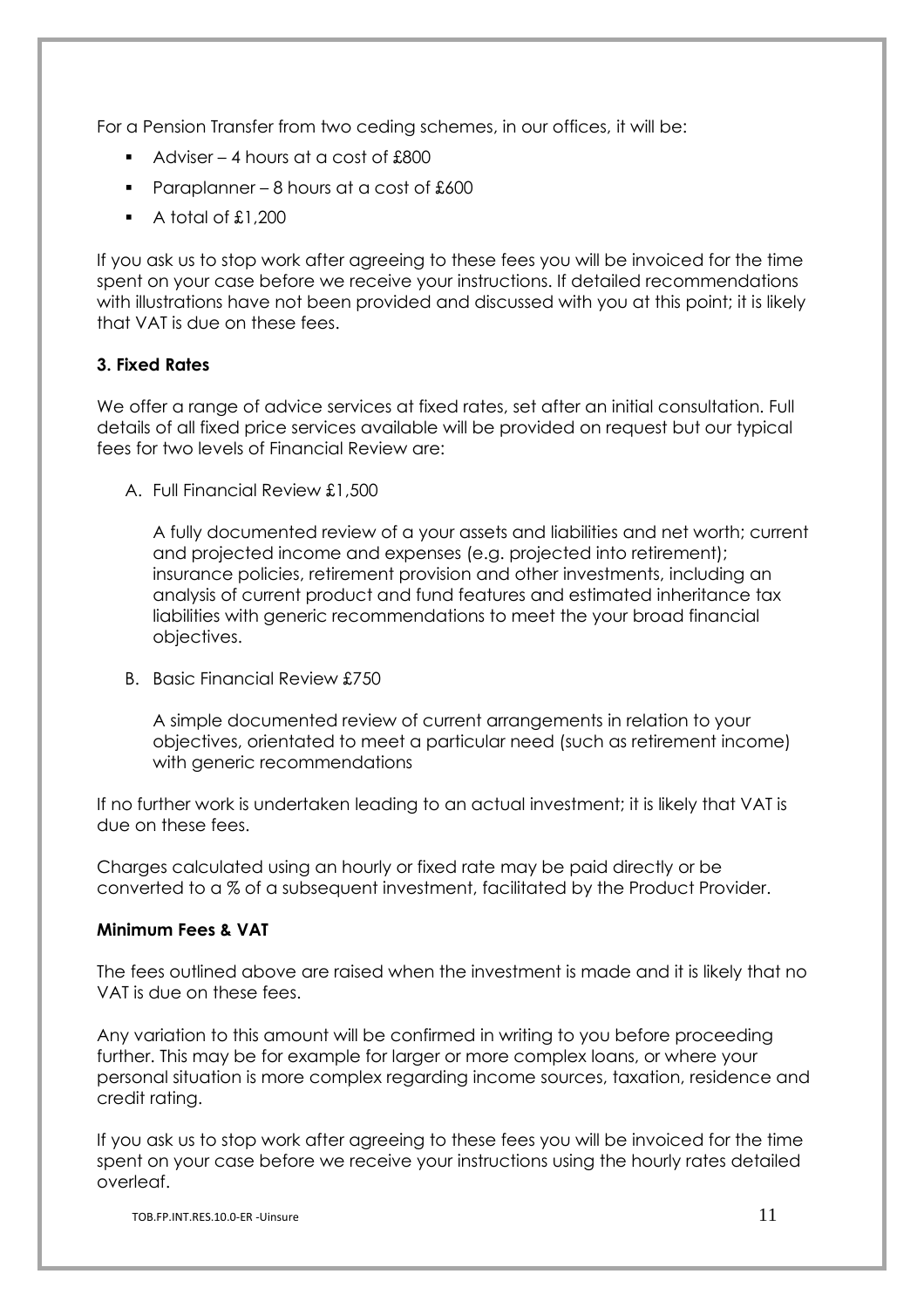For a Pension Transfer from two ceding schemes, in our offices, it will be:

- Adviser 4 hours at a cost of £800
- Paraplanner 8 hours at a cost of £600
- A total of £1,200

If you ask us to stop work after agreeing to these fees you will be invoiced for the time spent on your case before we receive your instructions. If detailed recommendations with illustrations have not been provided and discussed with you at this point; it is likely that VAT is due on these fees.

# **3. Fixed Rates**

We offer a range of advice services at fixed rates, set after an initial consultation. Full details of all fixed price services available will be provided on request but our typical fees for two levels of Financial Review are:

A. Full Financial Review £1,500

A fully documented review of a your assets and liabilities and net worth; current and projected income and expenses (e.g. projected into retirement); insurance policies, retirement provision and other investments, including an analysis of current product and fund features and estimated inheritance tax liabilities with generic recommendations to meet the your broad financial objectives.

B. Basic Financial Review £750

A simple documented review of current arrangements in relation to your objectives, orientated to meet a particular need (such as retirement income) with generic recommendations

If no further work is undertaken leading to an actual investment; it is likely that VAT is due on these fees.

Charges calculated using an hourly or fixed rate may be paid directly or be converted to a % of a subsequent investment, facilitated by the Product Provider.

## **Minimum Fees & VAT**

The fees outlined above are raised when the investment is made and it is likely that no VAT is due on these fees.

Any variation to this amount will be confirmed in writing to you before proceeding further. This may be for example for larger or more complex loans, or where your personal situation is more complex regarding income sources, taxation, residence and credit rating.

If you ask us to stop work after agreeing to these fees you will be invoiced for the time spent on your case before we receive your instructions using the hourly rates detailed overleaf.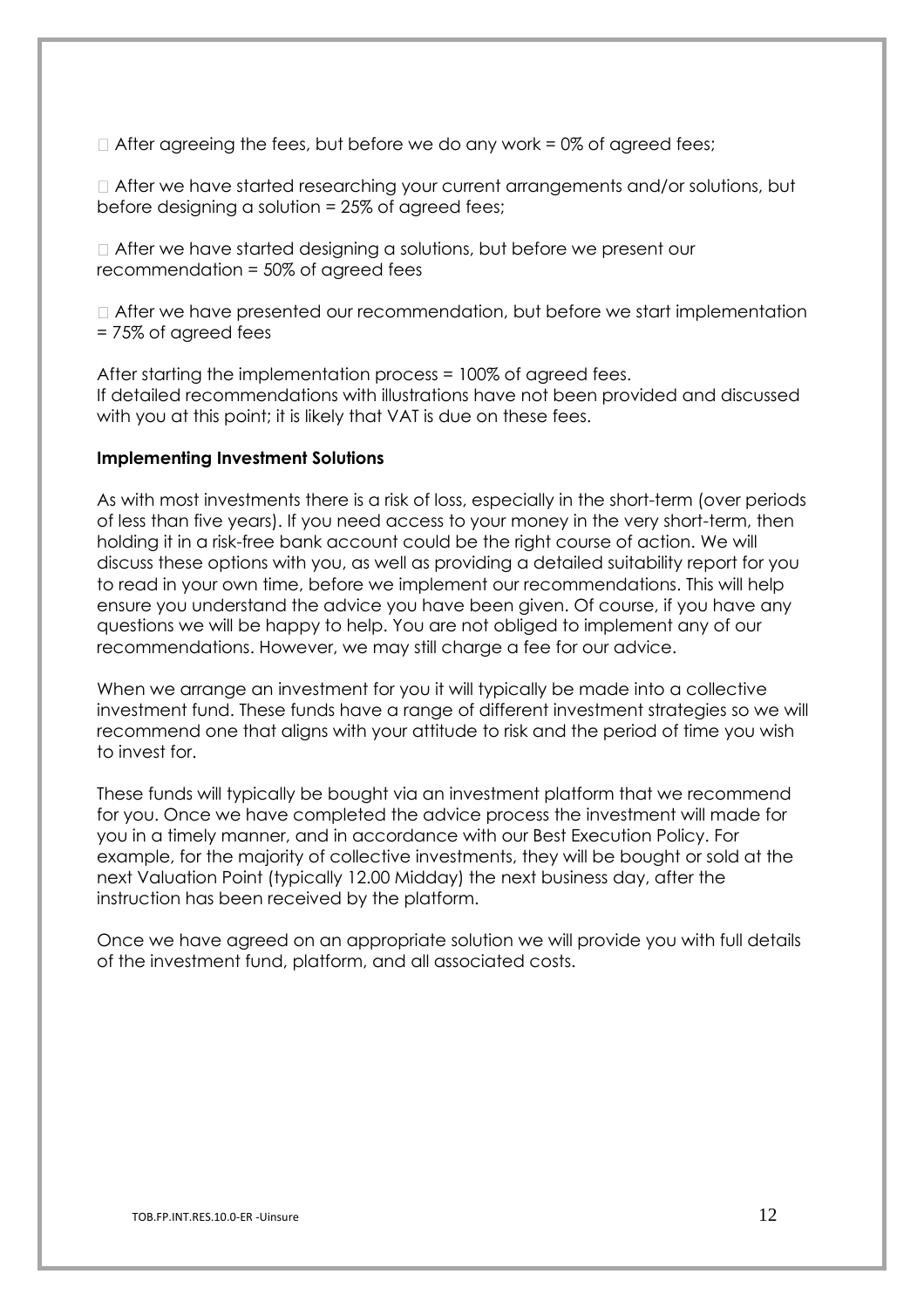$\Box$  After agreeing the fees, but before we do any work = 0% of agreed fees;

 $\Box$  After we have started researching your current arrangements and/or solutions, but before designing a solution = 25% of agreed fees;

 $\Box$  After we have started designing a solutions, but before we present our recommendation = 50% of agreed fees

 $\Box$  After we have presented our recommendation, but before we start implementation = 75% of agreed fees

After starting the implementation process = 100% of agreed fees. If detailed recommendations with illustrations have not been provided and discussed with you at this point; it is likely that VAT is due on these fees.

#### **Implementing Investment Solutions**

As with most investments there is a risk of loss, especially in the short-term (over periods of less than five years). If you need access to your money in the very short-term, then holding it in a risk-free bank account could be the right course of action. We will discuss these options with you, as well as providing a detailed suitability report for you to read in your own time, before we implement our recommendations. This will help ensure you understand the advice you have been given. Of course, if you have any questions we will be happy to help. You are not obliged to implement any of our recommendations. However, we may still charge a fee for our advice.

When we arrange an investment for you it will typically be made into a collective investment fund. These funds have a range of different investment strategies so we will recommend one that aligns with your attitude to risk and the period of time you wish to invest for.

These funds will typically be bought via an investment platform that we recommend for you. Once we have completed the advice process the investment will made for you in a timely manner, and in accordance with our Best Execution Policy. For example, for the majority of collective investments, they will be bought or sold at the next Valuation Point (typically 12.00 Midday) the next business day, after the instruction has been received by the platform.

Once we have agreed on an appropriate solution we will provide you with full details of the investment fund, platform, and all associated costs.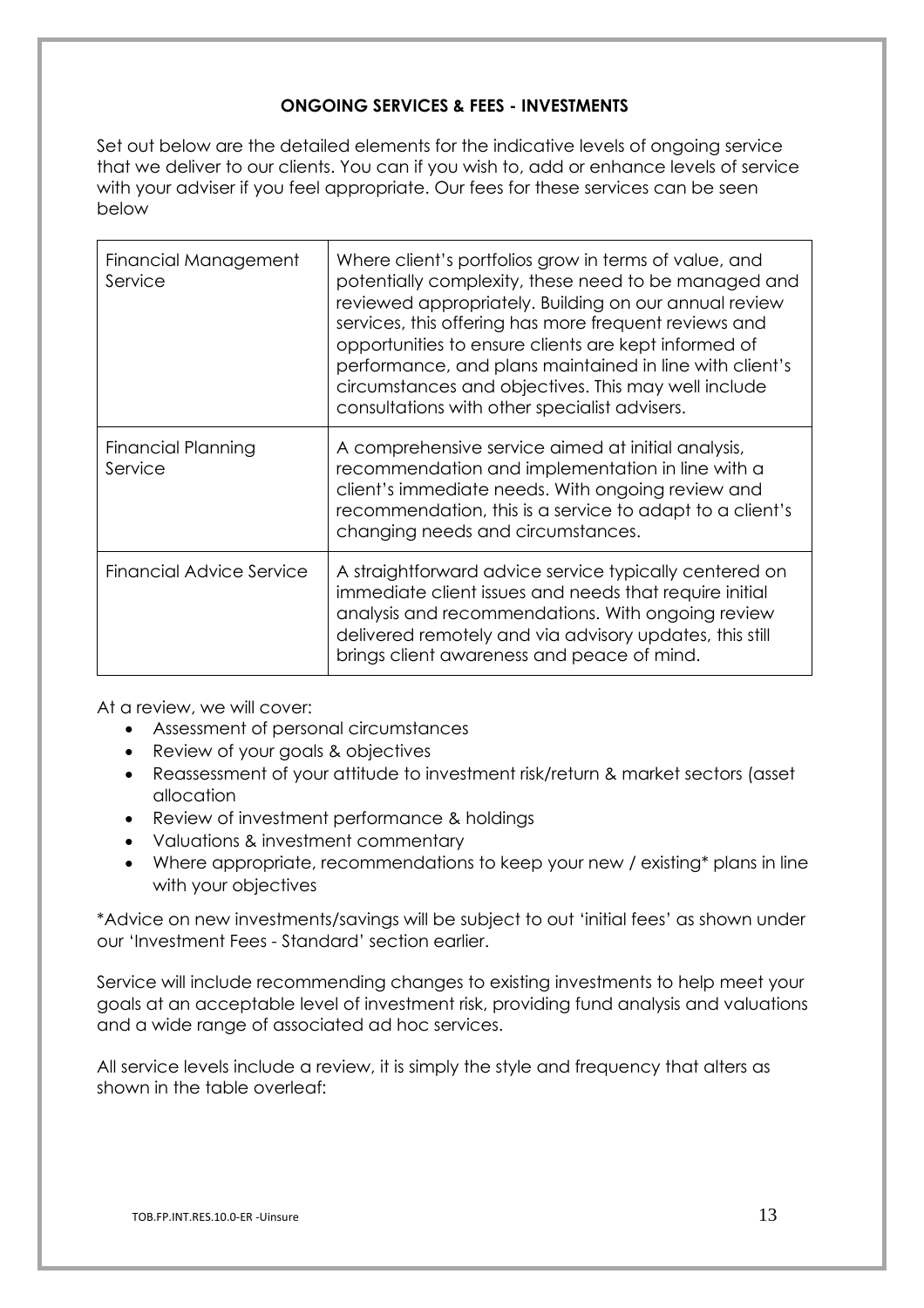# **ONGOING SERVICES & FEES - INVESTMENTS**

Set out below are the detailed elements for the indicative levels of ongoing service that we deliver to our clients. You can if you wish to, add or enhance levels of service with your adviser if you feel appropriate. Our fees for these services can be seen below

| Financial Management<br>Service | Where client's portfolios grow in terms of value, and<br>potentially complexity, these need to be managed and<br>reviewed appropriately. Building on our annual review<br>services, this offering has more frequent reviews and<br>opportunities to ensure clients are kept informed of<br>performance, and plans maintained in line with client's<br>circumstances and objectives. This may well include<br>consultations with other specialist advisers. |
|---------------------------------|------------------------------------------------------------------------------------------------------------------------------------------------------------------------------------------------------------------------------------------------------------------------------------------------------------------------------------------------------------------------------------------------------------------------------------------------------------|
| Financial Planning<br>Service   | A comprehensive service aimed at initial analysis,<br>recommendation and implementation in line with a<br>client's immediate needs. With ongoing review and<br>recommendation, this is a service to adapt to a client's<br>changing needs and circumstances.                                                                                                                                                                                               |
| Financial Advice Service        | A straightforward advice service typically centered on<br>immediate client issues and needs that require initial<br>analysis and recommendations. With ongoing review<br>delivered remotely and via advisory updates, this still<br>brings client awareness and peace of mind.                                                                                                                                                                             |

At a review, we will cover:

- Assessment of personal circumstances
- Review of your goals & objectives
- Reassessment of your attitude to investment risk/return & market sectors (asset allocation
- Review of investment performance & holdings
- Valuations & investment commentary
- Where appropriate, recommendations to keep your new / existing\* plans in line with your objectives

\*Advice on new investments/savings will be subject to out 'initial fees' as shown under our 'Investment Fees - Standard' section earlier.

Service will include recommending changes to existing investments to help meet your goals at an acceptable level of investment risk, providing fund analysis and valuations and a wide range of associated ad hoc services.

All service levels include a review, it is simply the style and frequency that alters as shown in the table overleaf: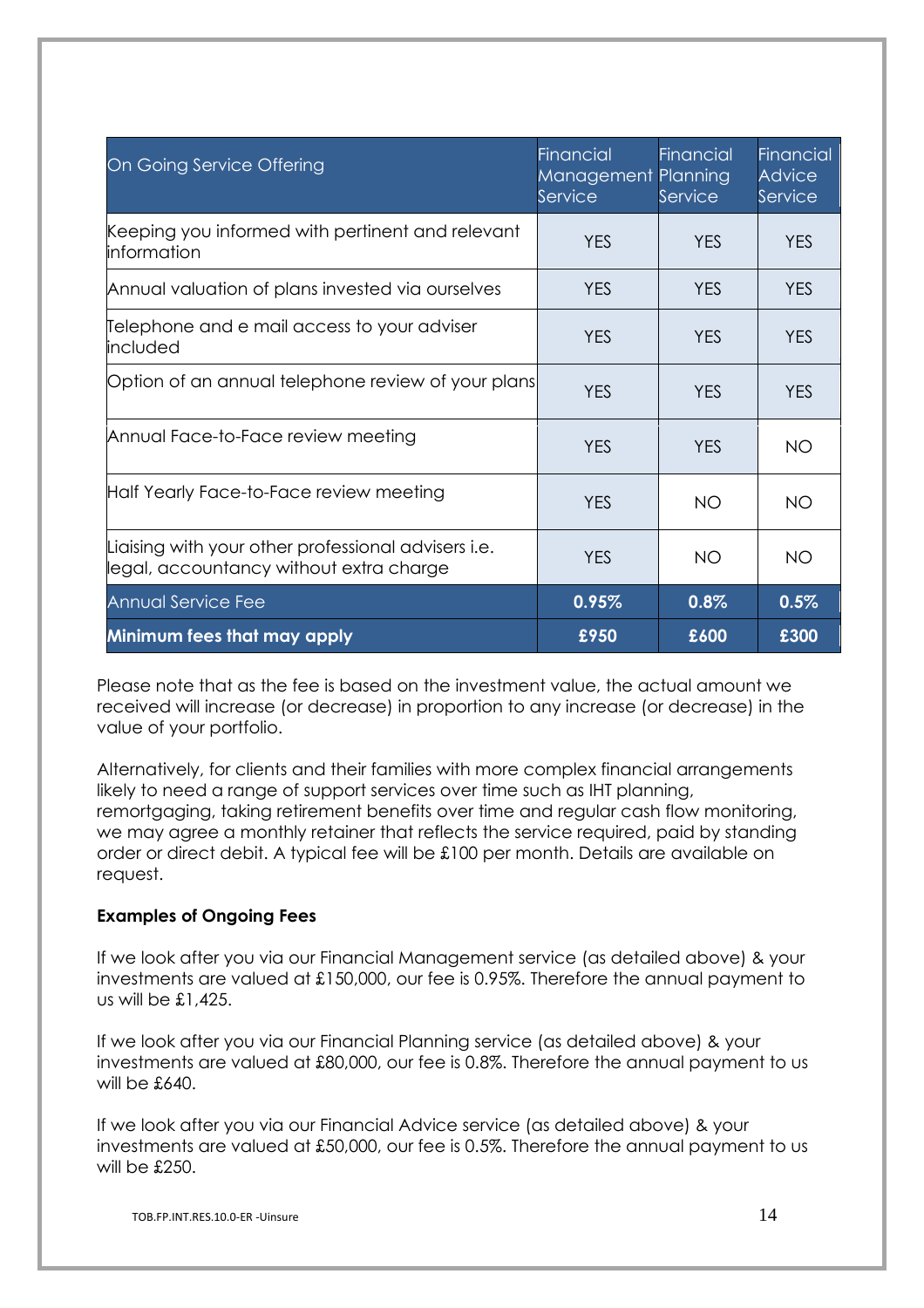| On Going Service Offering                                                                      | <b>Financial</b><br>Management Planning<br>Service | <b>Financial</b><br>Service | Financial<br><b>Advice</b><br>Service |
|------------------------------------------------------------------------------------------------|----------------------------------------------------|-----------------------------|---------------------------------------|
| Keeping you informed with pertinent and relevant<br><b>i</b> nformation                        | <b>YES</b>                                         | <b>YES</b>                  | <b>YES</b>                            |
| Annual valuation of plans invested via ourselves                                               | <b>YES</b>                                         | <b>YES</b>                  | <b>YES</b>                            |
| Telephone and e mail access to your adviser<br>included                                        | <b>YES</b>                                         | <b>YES</b>                  | <b>YES</b>                            |
| Option of an annual telephone review of your plans                                             | <b>YES</b>                                         | <b>YES</b>                  | <b>YES</b>                            |
| Annual Face-to-Face review meeting                                                             | <b>YES</b>                                         | <b>YES</b>                  | <b>NO</b>                             |
| Half Yearly Face-to-Face review meeting                                                        | <b>YES</b>                                         | <b>NO</b>                   | <b>NO</b>                             |
| Liaising with your other professional advisers i.e.<br>legal, accountancy without extra charge | <b>YES</b>                                         | <b>NO</b>                   | <b>NO</b>                             |
| <b>Annual Service Fee</b>                                                                      | 0.95%                                              | 0.8%                        | 0.5%                                  |
| Minimum fees that may apply                                                                    | £950                                               | £600                        | £300                                  |

Please note that as the fee is based on the investment value, the actual amount we received will increase (or decrease) in proportion to any increase (or decrease) in the value of your portfolio.

Alternatively, for clients and their families with more complex financial arrangements likely to need a range of support services over time such as IHT planning, remortgaging, taking retirement benefits over time and regular cash flow monitoring, we may agree a monthly retainer that reflects the service required, paid by standing order or direct debit. A typical fee will be £100 per month. Details are available on request.

# **Examples of Ongoing Fees**

If we look after you via our Financial Management service (as detailed above) & your investments are valued at £150,000, our fee is 0.95%. Therefore the annual payment to us will be £1,425.

If we look after you via our Financial Planning service (as detailed above) & your investments are valued at £80,000, our fee is 0.8%. Therefore the annual payment to us will be £640.

If we look after you via our Financial Advice service (as detailed above) & your investments are valued at £50,000, our fee is 0.5%. Therefore the annual payment to us will be £250.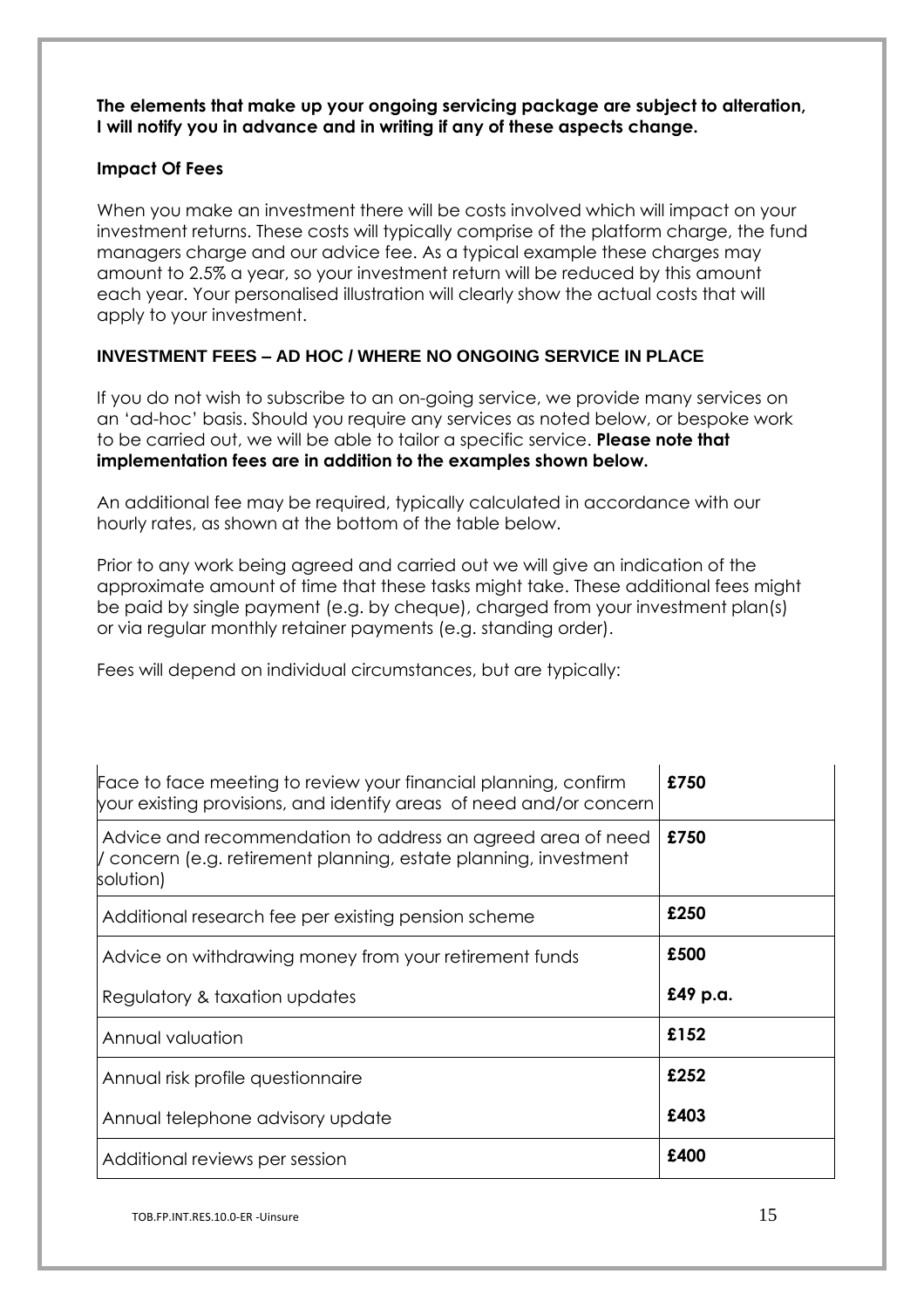**The elements that make up your ongoing servicing package are subject to alteration, I will notify you in advance and in writing if any of these aspects change.** 

## **Impact Of Fees**

When you make an investment there will be costs involved which will impact on your investment returns. These costs will typically comprise of the platform charge, the fund managers charge and our advice fee. As a typical example these charges may amount to 2.5% a year, so your investment return will be reduced by this amount each year. Your personalised illustration will clearly show the actual costs that will apply to your investment.

# **INVESTMENT FEES – AD HOC / WHERE NO ONGOING SERVICE IN PLACE**

If you do not wish to subscribe to an on-going service, we provide many services on an 'ad-hoc' basis. Should you require any services as noted below, or bespoke work to be carried out, we will be able to tailor a specific service. **Please note that implementation fees are in addition to the examples shown below.**

An additional fee may be required, typically calculated in accordance with our hourly rates, as shown at the bottom of the table below.

Prior to any work being agreed and carried out we will give an indication of the approximate amount of time that these tasks might take. These additional fees might be paid by single payment (e.g. by cheque), charged from your investment plan(s) or via regular monthly retainer payments (e.g. standing order).

Fees will depend on individual circumstances, but are typically:

| Face to face meeting to review your financial planning, confirm<br>your existing provisions, and identify areas of need and/or concern       | £750     |
|----------------------------------------------------------------------------------------------------------------------------------------------|----------|
| Advice and recommendation to address an agreed area of need<br>/ concern (e.g. retirement planning, estate planning, investment<br>solution) | £750     |
| Additional research fee per existing pension scheme                                                                                          | £250     |
| Advice on withdrawing money from your retirement funds                                                                                       | £500     |
| Regulatory & taxation updates                                                                                                                | £49 p.a. |
| Annual valuation                                                                                                                             | £152     |
| Annual risk profile questionnaire                                                                                                            | £252     |
| Annual telephone advisory update                                                                                                             | £403     |
| Additional reviews per session                                                                                                               | £400     |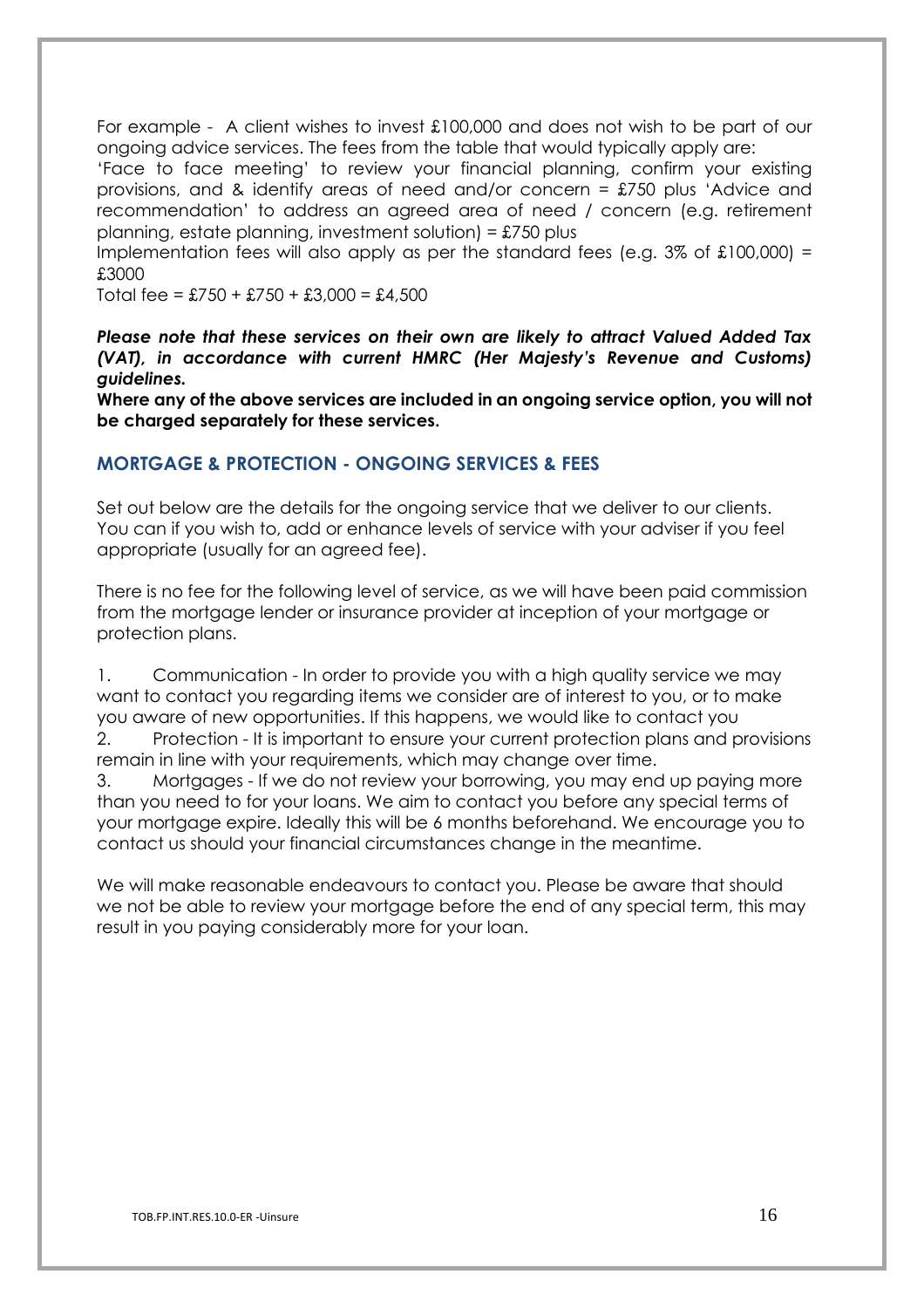For example - A client wishes to invest £100,000 and does not wish to be part of our ongoing advice services. The fees from the table that would typically apply are:

'Face to face meeting' to review your financial planning, confirm your existing provisions, and & identify areas of need and/or concern = £750 plus 'Advice and recommendation' to address an agreed area of need / concern (e.g. retirement planning, estate planning, investment solution) = £750 plus

Implementation fees will also apply as per the standard fees (e.g.  $3\%$  of £100,000) = £3000

Total fee =  $£750 + £750 + £3,000 = £4,500$ 

*Please note that these services on their own are likely to attract Valued Added Tax (VAT), in accordance with current HMRC (Her Majesty's Revenue and Customs) guidelines.*

**Where any of the above services are included in an ongoing service option, you will not be charged separately for these services.**

## **MORTGAGE & PROTECTION - ONGOING SERVICES & FEES**

Set out below are the details for the ongoing service that we deliver to our clients. You can if you wish to, add or enhance levels of service with your adviser if you feel appropriate (usually for an agreed fee).

There is no fee for the following level of service, as we will have been paid commission from the mortgage lender or insurance provider at inception of your mortgage or protection plans.

1. Communication - In order to provide you with a high quality service we may want to contact you regarding items we consider are of interest to you, or to make you aware of new opportunities. If this happens, we would like to contact you 2. Protection - It is important to ensure your current protection plans and provisions

remain in line with your requirements, which may change over time.

3. Mortgages - If we do not review your borrowing, you may end up paying more than you need to for your loans. We aim to contact you before any special terms of your mortgage expire. Ideally this will be 6 months beforehand. We encourage you to contact us should your financial circumstances change in the meantime.

We will make reasonable endeavours to contact you. Please be aware that should we not be able to review your mortgage before the end of any special term, this may result in you paying considerably more for your loan.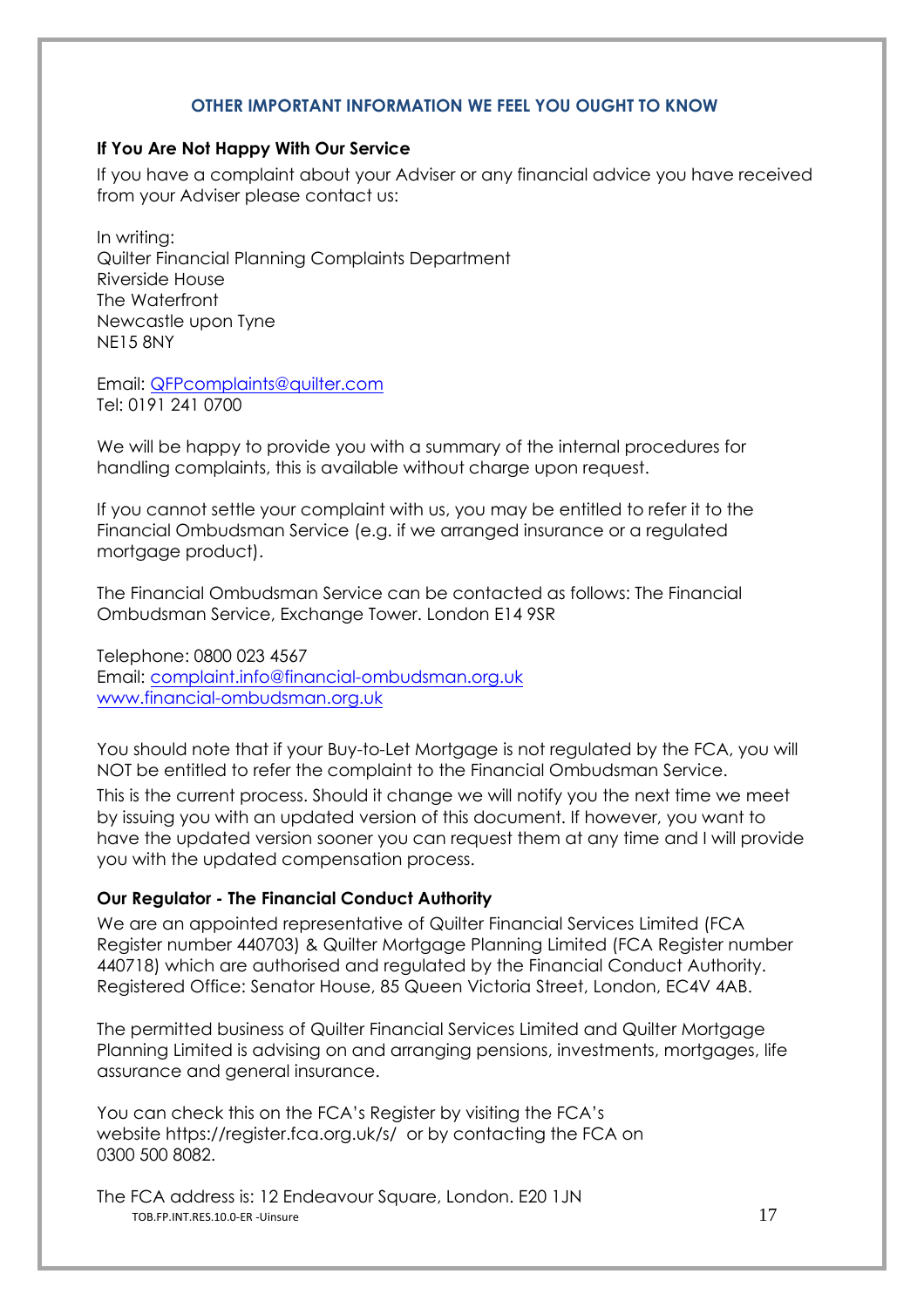## **OTHER IMPORTANT INFORMATION WE FEEL YOU OUGHT TO KNOW**

# **If You Are Not Happy With Our Service**

If you have a complaint about your Adviser or any financial advice you have received from your Adviser please contact us:

In writing: Quilter Financial Planning Complaints Department Riverside House The Waterfront Newcastle upon Tyne NE15 8NY

Email: [QFPc](mailto:QFP)omplaints@quilter.com Tel: 0191 241 0700

We will be happy to provide you with a summary of the internal procedures for handling complaints, this is available without charge upon request.

If you cannot settle your complaint with us, you may be entitled to refer it to the Financial Ombudsman Service (e.g. if we arranged insurance or a regulated mortgage product).

The Financial Ombudsman Service can be contacted as follows: The Financial Ombudsman Service, Exchange Tower. London E14 9SR

Telephone: 0800 023 4567 Email: [complaint.info@financial-ombudsman.org.uk](mailto:complaint.info@financial-ombudsman.org.uk) [www.financial-ombudsman.org.uk](http://www.financial-ombudsman.org.uk/)

You should note that if your Buy-to-Let Mortgage is not regulated by the FCA, you will NOT be entitled to refer the complaint to the Financial Ombudsman Service.

This is the current process. Should it change we will notify you the next time we meet by issuing you with an updated version of this document. If however, you want to have the updated version sooner you can request them at any time and I will provide you with the updated compensation process.

# **Our Regulator - The Financial Conduct Authority**

We are an appointed representative of Quilter Financial Services Limited (FCA Register number 440703) & Quilter Mortgage Planning Limited (FCA Register number 440718) which are authorised and regulated by the Financial Conduct Authority. Registered Office: Senator House, 85 Queen Victoria Street, London, EC4V 4AB.

The permitted business of Quilter Financial Services Limited and Quilter Mortgage Planning Limited is advising on and arranging pensions, investments, mortgages, life assurance and general insurance.

You can check this on the FCA's Register by visiting the FCA's website https://register.fca.org.uk/s/ or by contacting the FCA on 0300 500 8082.

TOB.FP.INT.RES.10.0-ER -Uinsure 17 The FCA address is: 12 Endeavour Square, London. E20 1JN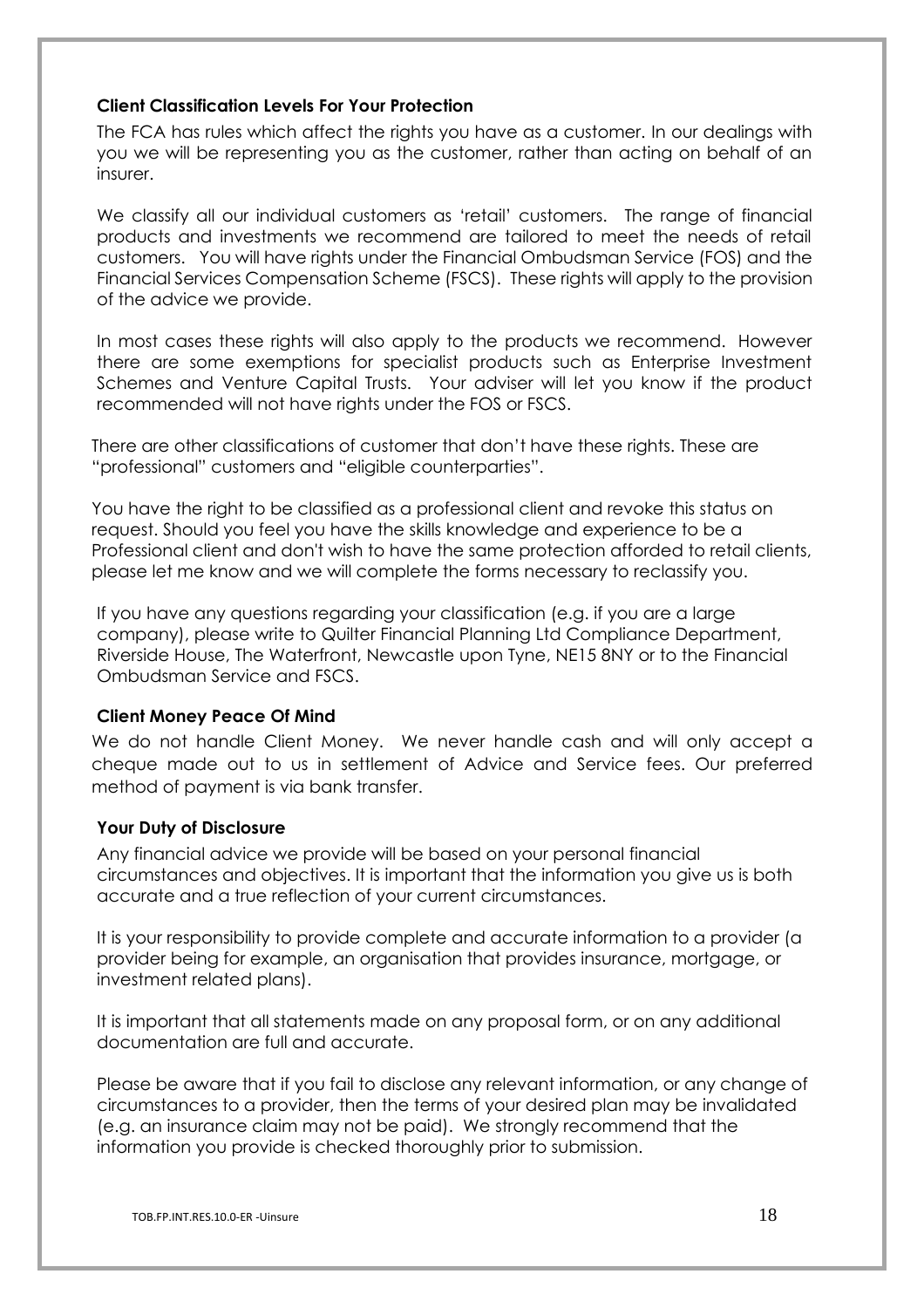# **Client Classification Levels For Your Protection**

The FCA has rules which affect the rights you have as a customer. In our dealings with you we will be representing you as the customer, rather than acting on behalf of an insurer.

We classify all our individual customers as 'retail' customers. The range of financial products and investments we recommend are tailored to meet the needs of retail customers. You will have rights under the Financial Ombudsman Service (FOS) and the Financial Services Compensation Scheme (FSCS). These rights will apply to the provision of the advice we provide.

In most cases these rights will also apply to the products we recommend. However there are some exemptions for specialist products such as Enterprise Investment Schemes and Venture Capital Trusts. Your adviser will let you know if the product recommended will not have rights under the FOS or FSCS.

There are other classifications of customer that don't have these rights. These are "professional" customers and "eligible counterparties".

You have the right to be classified as a professional client and revoke this status on request. Should you feel you have the skills knowledge and experience to be a Professional client and don't wish to have the same protection afforded to retail clients, please let me know and we will complete the forms necessary to reclassify you.

If you have any questions regarding your classification (e.g. if you are a large company), please write to Quilter Financial Planning Ltd Compliance Department, Riverside House, The Waterfront, Newcastle upon Tyne, NE15 8NY or to the Financial Ombudsman Service and FSCS.

## **Client Money Peace Of Mind**

We do not handle Client Money. We never handle cash and will only accept a cheque made out to us in settlement of Advice and Service fees. Our preferred method of payment is via bank transfer.

# **Your Duty of Disclosure**

Any financial advice we provide will be based on your personal financial circumstances and objectives. It is important that the information you give us is both accurate and a true reflection of your current circumstances.

It is your responsibility to provide complete and accurate information to a provider (a provider being for example, an organisation that provides insurance, mortgage, or investment related plans).

It is important that all statements made on any proposal form, or on any additional documentation are full and accurate.

Please be aware that if you fail to disclose any relevant information, or any change of circumstances to a provider, then the terms of your desired plan may be invalidated (e.g. an insurance claim may not be paid). We strongly recommend that the information you provide is checked thoroughly prior to submission.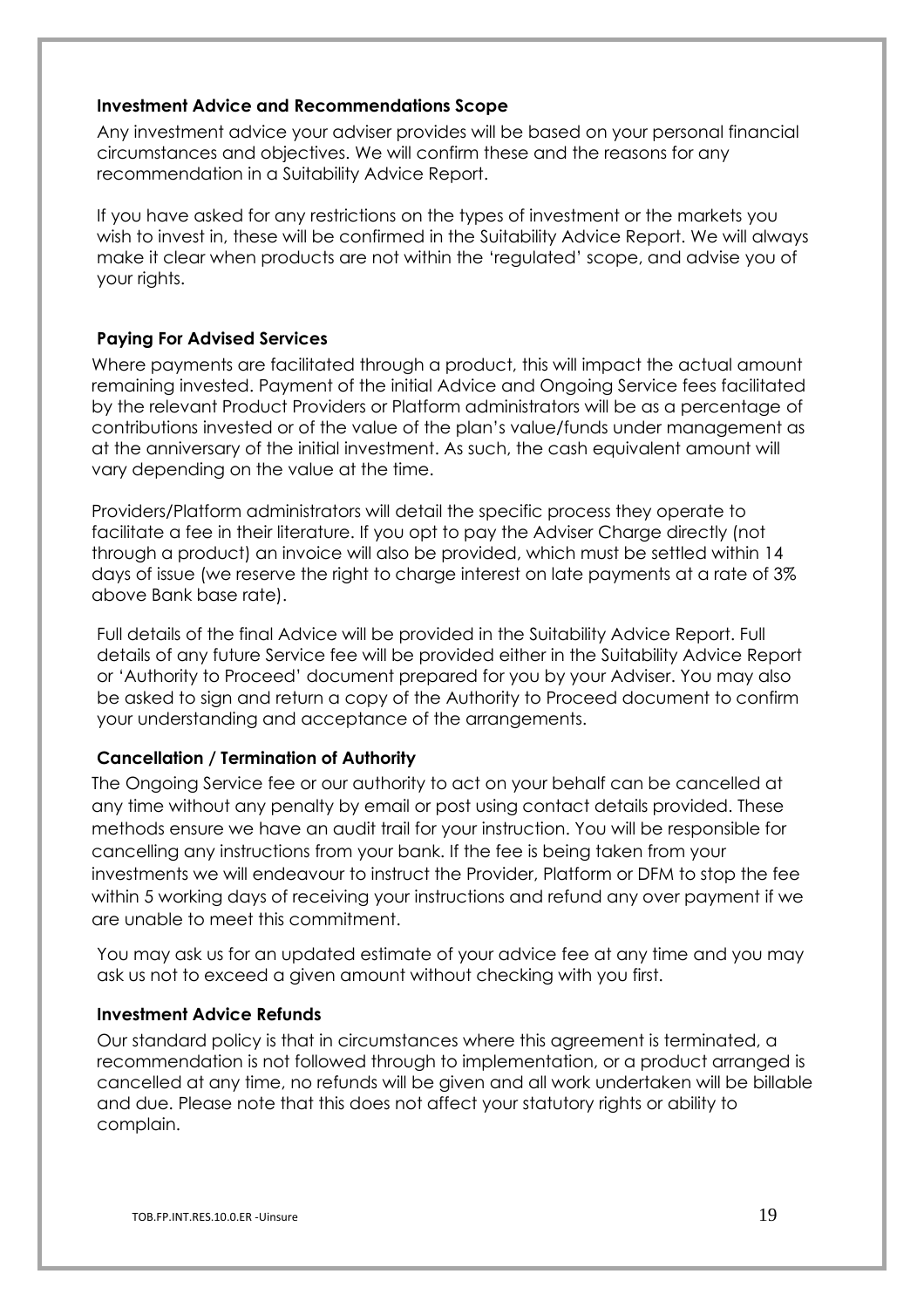## **Investment Advice and Recommendations Scope**

Any investment advice your adviser provides will be based on your personal financial circumstances and objectives. We will confirm these and the reasons for any recommendation in a Suitability Advice Report.

If you have asked for any restrictions on the types of investment or the markets you wish to invest in, these will be confirmed in the Suitability Advice Report. We will always make it clear when products are not within the 'regulated' scope, and advise you of your rights.

# **Paying For Advised Services**

Where payments are facilitated through a product, this will impact the actual amount remaining invested. Payment of the initial Advice and Ongoing Service fees facilitated by the relevant Product Providers or Platform administrators will be as a percentage of contributions invested or of the value of the plan's value/funds under management as at the anniversary of the initial investment. As such, the cash equivalent amount will vary depending on the value at the time.

Providers/Platform administrators will detail the specific process they operate to facilitate a fee in their literature. If you opt to pay the Adviser Charge directly (not through a product) an invoice will also be provided, which must be settled within 14 days of issue (we reserve the right to charge interest on late payments at a rate of 3% above Bank base rate).

Full details of the final Advice will be provided in the Suitability Advice Report. Full details of any future Service fee will be provided either in the Suitability Advice Report or 'Authority to Proceed' document prepared for you by your Adviser. You may also be asked to sign and return a copy of the Authority to Proceed document to confirm your understanding and acceptance of the arrangements.

## **Cancellation / Termination of Authority**

The Ongoing Service fee or our authority to act on your behalf can be cancelled at any time without any penalty by email or post using contact details provided. These methods ensure we have an audit trail for your instruction. You will be responsible for cancelling any instructions from your bank. If the fee is being taken from your investments we will endeavour to instruct the Provider, Platform or DFM to stop the fee within 5 working days of receiving your instructions and refund any over payment if we are unable to meet this commitment.

You may ask us for an updated estimate of your advice fee at any time and you may ask us not to exceed a given amount without checking with you first.

## **Investment Advice Refunds**

Our standard policy is that in circumstances where this agreement is terminated, a recommendation is not followed through to implementation, or a product arranged is cancelled at any time, no refunds will be given and all work undertaken will be billable and due. Please note that this does not affect your statutory rights or ability to complain.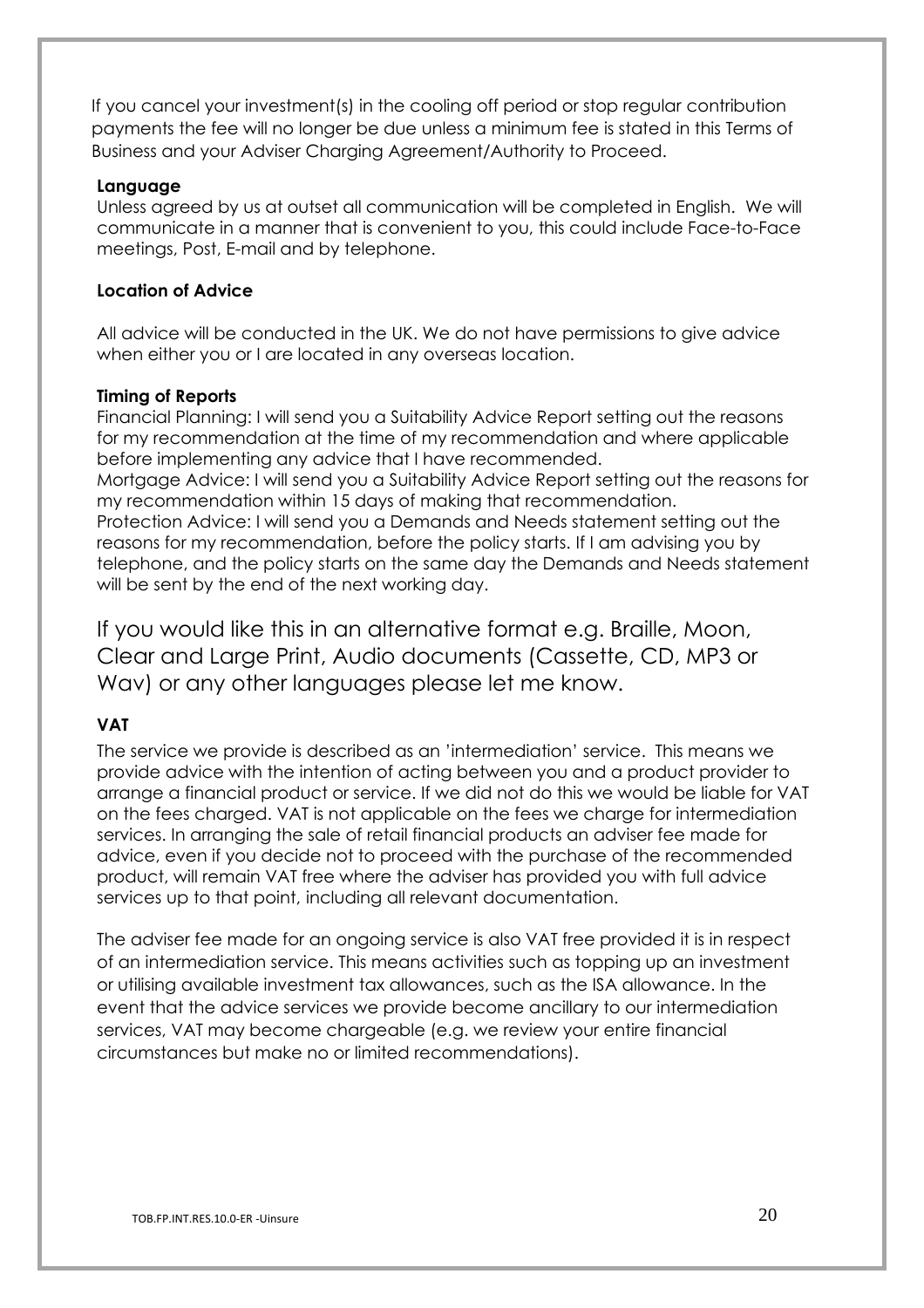If you cancel your investment(s) in the cooling off period or stop regular contribution payments the fee will no longer be due unless a minimum fee is stated in this Terms of Business and your Adviser Charging Agreement/Authority to Proceed.

#### **Language**

Unless agreed by us at outset all communication will be completed in English. We will communicate in a manner that is convenient to you, this could include Face-to-Face meetings, Post, E-mail and by telephone.

## **Location of Advice**

All advice will be conducted in the UK. We do not have permissions to give advice when either you or I are located in any overseas location.

#### **Timing of Reports**

Financial Planning: I will send you a Suitability Advice Report setting out the reasons for my recommendation at the time of my recommendation and where applicable before implementing any advice that I have recommended. Mortgage Advice: I will send you a Suitability Advice Report setting out the reasons for my recommendation within 15 days of making that recommendation. Protection Advice: I will send you a Demands and Needs statement setting out the reasons for my recommendation, before the policy starts. If I am advising you by telephone, and the policy starts on the same day the Demands and Needs statement will be sent by the end of the next working day.

If you would like this in an alternative format e.g. Braille, Moon, Clear and Large Print, Audio documents (Cassette, CD, MP3 or Wav) or any other languages please let me know.

# **VAT**

The service we provide is described as an 'intermediation' service. This means we provide advice with the intention of acting between you and a product provider to arrange a financial product or service. If we did not do this we would be liable for VAT on the fees charged. VAT is not applicable on the fees we charge for intermediation services. In arranging the sale of retail financial products an adviser fee made for advice, even if you decide not to proceed with the purchase of the recommended product, will remain VAT free where the adviser has provided you with full advice services up to that point, including all relevant documentation.

The adviser fee made for an ongoing service is also VAT free provided it is in respect of an intermediation service. This means activities such as topping up an investment or utilising available investment tax allowances, such as the ISA allowance. In the event that the advice services we provide become ancillary to our intermediation services, VAT may become chargeable (e.g. we review your entire financial circumstances but make no or limited recommendations).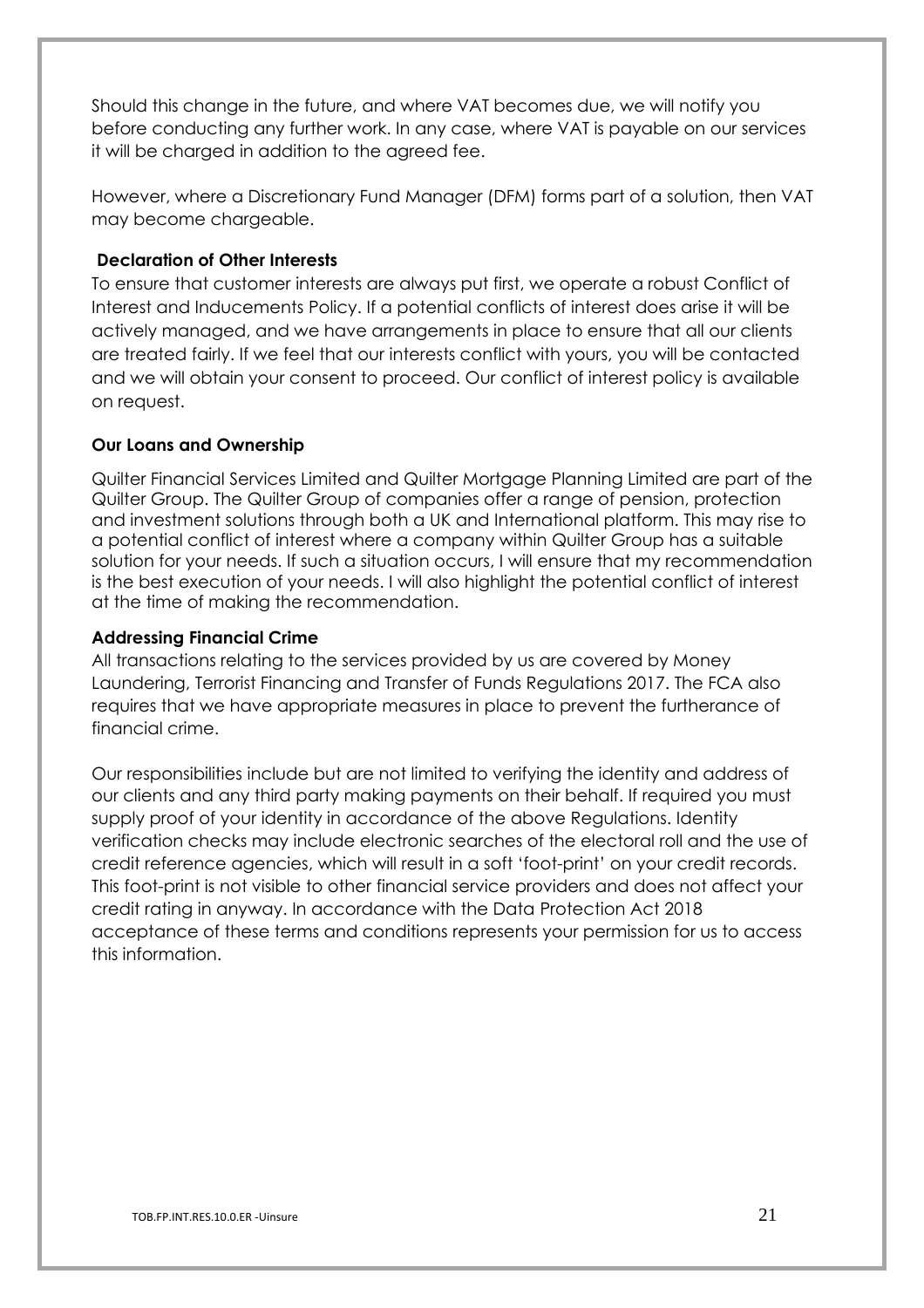Should this change in the future, and where VAT becomes due, we will notify you before conducting any further work. In any case, where VAT is payable on our services it will be charged in addition to the agreed fee.

However, where a Discretionary Fund Manager (DFM) forms part of a solution, then VAT may become chargeable.

# **Declaration of Other Interests**

To ensure that customer interests are always put first, we operate a robust Conflict of Interest and Inducements Policy. If a potential conflicts of interest does arise it will be actively managed, and we have arrangements in place to ensure that all our clients are treated fairly. If we feel that our interests conflict with yours, you will be contacted and we will obtain your consent to proceed. Our conflict of interest policy is available on request.

# **Our Loans and Ownership**

Quilter Financial Services Limited and Quilter Mortgage Planning Limited are part of the Quilter Group. The Quilter Group of companies offer a range of pension, protection and investment solutions through both a UK and International platform. This may rise to a potential conflict of interest where a company within Quilter Group has a suitable solution for your needs. If such a situation occurs, I will ensure that my recommendation is the best execution of your needs. I will also highlight the potential conflict of interest at the time of making the recommendation.

# **Addressing Financial Crime**

All transactions relating to the services provided by us are covered by Money Laundering, Terrorist Financing and Transfer of Funds Regulations 2017. The FCA also requires that we have appropriate measures in place to prevent the furtherance of financial crime.

Our responsibilities include but are not limited to verifying the identity and address of our clients and any third party making payments on their behalf. If required you must supply proof of your identity in accordance of the above Regulations. Identity verification checks may include electronic searches of the electoral roll and the use of credit reference agencies, which will result in a soft 'foot-print' on your credit records. This foot-print is not visible to other financial service providers and does not affect your credit rating in anyway. In accordance with the Data Protection Act 2018 acceptance of these terms and conditions represents your permission for us to access this information.